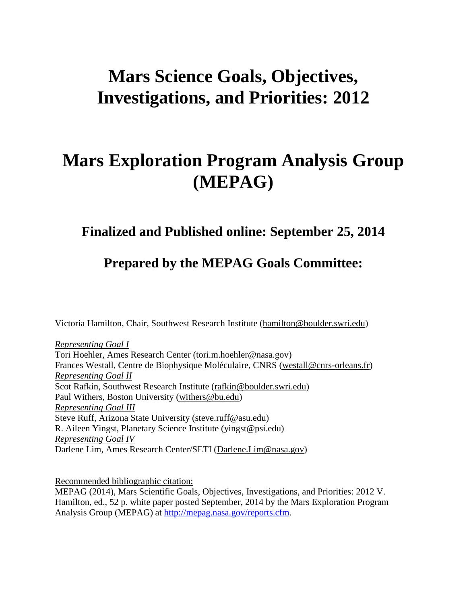# **Mars Science Goals, Objectives, Investigations, and Priorities: 2012**

# **Mars Exploration Program Analysis Group (MEPAG)**

# **Finalized and Published online: September 25, 2014**

# **Prepared by the MEPAG Goals Committee:**

Victoria Hamilton, Chair, Southwest Research Institute (hamilton@boulder.swri.edu)

*Representing Goal I* Tori Hoehler, Ames Research Center [\(tori.m.hoehler@nasa.gov\)](mailto:tori.m.hoehler@nasa.gov) Frances Westall, Centre de Biophysique Moléculaire, CNRS [\(westall@cnrs-orleans.fr\)](mailto:westall@cnrs-orleans.fr) *Representing Goal II* Scot Rafkin, Southwest Research Institute (rafkin@boulder.swri.edu) Paul Withers, Boston University (withers@bu.edu) *Representing Goal III*  Steve Ruff, Arizona State University (steve.ruff@asu.edu) R. Aileen Yingst, Planetary Science Institute (yingst@psi.edu) *Representing Goal IV* Darlene Lim, Ames Research Center/SETI (Darlene.Lim@nasa.gov)

Recommended bibliographic citation:

MEPAG (2014), Mars Scientific Goals, Objectives, Investigations, and Priorities: 2012 V. Hamilton, ed., 52 p. white paper posted September, 2014 by the Mars Exploration Program Analysis Group (MEPAG) at [http://mepag.nasa.gov/reports.cfm.](http://mepag.nasa.gov/reports.cfm)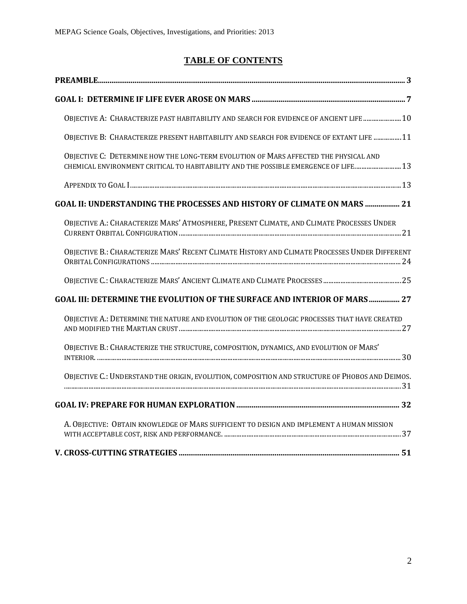### **TABLE OF CONTENTS**

| OBJECTIVE A: CHARACTERIZE PAST HABITABILITY AND SEARCH FOR EVIDENCE OF ANCIENT LIFE 10                                                                                      |
|-----------------------------------------------------------------------------------------------------------------------------------------------------------------------------|
| OBJECTIVE B: CHARACTERIZE PRESENT HABITABILITY AND SEARCH FOR EVIDENCE OF EXTANT LIFE  11                                                                                   |
| OBJECTIVE C: DETERMINE HOW THE LONG-TERM EVOLUTION OF MARS AFFECTED THE PHYSICAL AND<br>CHEMICAL ENVIRONMENT CRITICAL TO HABITABILITY AND THE POSSIBLE EMERGENCE OF LIFE 13 |
|                                                                                                                                                                             |
| <b>GOAL II: UNDERSTANDING THE PROCESSES AND HISTORY OF CLIMATE ON MARS  21</b>                                                                                              |
| OBJECTIVE A.: CHARACTERIZE MARS' ATMOSPHERE, PRESENT CLIMATE, AND CLIMATE PROCESSES UNDER                                                                                   |
| OBJECTIVE B.: CHARACTERIZE MARS' RECENT CLIMATE HISTORY AND CLIMATE PROCESSES UNDER DIFFERENT                                                                               |
|                                                                                                                                                                             |
| GOAL III: DETERMINE THE EVOLUTION OF THE SURFACE AND INTERIOR OF MARS 27                                                                                                    |
| OBJECTIVE A.: DETERMINE THE NATURE AND EVOLUTION OF THE GEOLOGIC PROCESSES THAT HAVE CREATED                                                                                |
| OBJECTIVE B.: CHARACTERIZE THE STRUCTURE, COMPOSITION, DYNAMICS, AND EVOLUTION OF MARS'                                                                                     |
| OBJECTIVE C.: UNDERSTAND THE ORIGIN, EVOLUTION, COMPOSITION AND STRUCTURE OF PHOBOS AND DEIMOS.                                                                             |
|                                                                                                                                                                             |
| A. OBJECTIVE: OBTAIN KNOWLEDGE OF MARS SUFFICIENT TO DESIGN AND IMPLEMENT A HUMAN MISSION                                                                                   |
|                                                                                                                                                                             |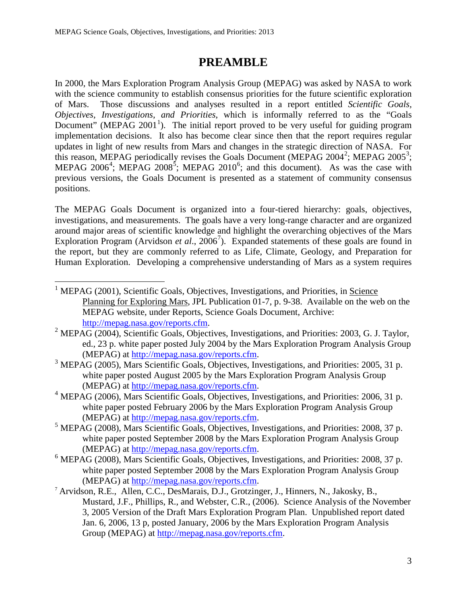# **PREAMBLE**

In 2000, the Mars Exploration Program Analysis Group (MEPAG) was asked by NASA to work with the science community to establish consensus priorities for the future scientific exploration of Mars. Those discussions and analyses resulted in a report entitled *Scientific Goals, Objectives, Investigations, and Priorities*, which is informally referred to as the "Goals Document" (MEPAG 200[1](#page-2-0)<sup>1</sup>). The initial report proved to be very useful for guiding program implementation decisions. It also has become clear since then that the report requires regular updates in light of new results from Mars and changes in the strategic direction of NASA. For this reason, MEPAG periodically revises the Goals Document (MEPAG  $2004^2$  $2004^2$ ; MEPAG  $2005^3$  $2005^3$ ; MEPAG 2006<sup>[4](#page-2-3)</sup>; MEPAG 2008<sup>[5](#page-2-4)</sup>; MEPAG 2010<sup>[6](#page-2-5)</sup>; and this document). As was the case with previous versions, the Goals Document is presented as a statement of community consensus positions.

The MEPAG Goals Document is organized into a four-tiered hierarchy: goals, objectives, investigations, and measurements. The goals have a very long-range character and are organized around major areas of scientific knowledge and highlight the overarching objectives of the Mars Exploration Program (Arvidson *et al.*, 2006<sup>[7](#page-2-6)</sup>). Expanded statements of these goals are found in the report, but they are commonly referred to as Life, Climate, Geology, and Preparation for Human Exploration. Developing a comprehensive understanding of Mars as a system requires

- <span id="page-2-1"></span>ed., 23 p. white paper posted July 2004 by the Mars Exploration Program Analysis Group (MEPAG) at http://mepag.nasa.gov/reports.cfm.
- <span id="page-2-2"></span> $3$  MEPAG (2005), Mars Scientific Goals, Objectives, Investigations, and Priorities: 2005, 31 p. white paper posted August 2005 by the Mars Exploration Program Analysis Group (MEPAG) at [http://mepag.nasa.gov/reports.cfm.](http://mepag.nasa.gov/reports.cfm)<br><sup>4</sup> MEPAG (2006), Mars Scientific Goals, Objectives, Investigations, and Priorities: 2006, 31 p.
- <span id="page-2-3"></span>white paper posted February 2006 by the Mars Exploration Program Analysis Group
- <span id="page-2-4"></span>(MEPAG) at [http://mepag.nasa.gov/reports.cfm.](http://mepag.nasa.gov/reports.cfm)<br><sup>5</sup> MEPAG (2008), Mars Scientific Goals, Objectives, Investigations, and Priorities: 2008, 37 p. white paper posted September 2008 by the Mars Exploration Program Analysis Group (MEPAG) at [http://mepag.nasa.gov/reports.cfm.](http://mepag.nasa.gov/reports.cfm)<br><sup>6</sup> MEPAG (2008), Mars Scientific Goals, Objectives, Investigations, and Priorities: 2008, 37 p.
- <span id="page-2-5"></span>white paper posted September 2008 by the Mars Exploration Program Analysis Group (MEPAG) at [http://mepag.nasa.gov/reports.cfm.](http://mepag.nasa.gov/reports.cfm)
- <span id="page-2-6"></span><sup>7</sup> Arvidson, R.E., Allen, C.C., DesMarais, D.J., Grotzinger, J., Hinners, N., Jakosky, B., Mustard, J.F., Phillips, R., and Webster, C.R., (2006). Science Analysis of the November 3, 2005 Version of the Draft Mars Exploration Program Plan. Unpublished report dated Jan. 6, 2006, 13 p, posted January, 2006 by the Mars Exploration Program Analysis Group (MEPAG) at [http://mepag.nasa.gov/reports.cfm.](http://mepag.nasa.gov/reports.cfm)

<span id="page-2-0"></span> $1$  MEPAG (2001), Scientific Goals, Objectives, Investigations, and Priorities, in Science Planning for Exploring Mars, JPL Publication 01-7, p. 9-38. Available on the web on the MEPAG website, under Reports, Science Goals Document, Archive: [http://mepag.nasa.gov/reports.cfm.](http://mepag.nasa.gov/reports.cfm)<br><sup>2</sup> MEPAG (2004), Scientific Goals, Objectives, Investigations, and Priorities: 2003, G. J. Taylor,  $\overline{a}$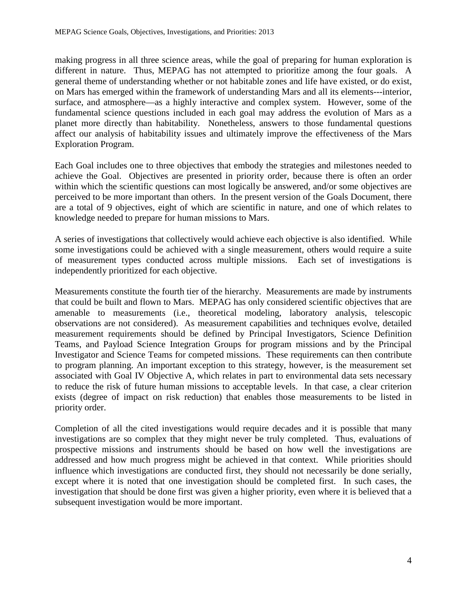making progress in all three science areas, while the goal of preparing for human exploration is different in nature. Thus, MEPAG has not attempted to prioritize among the four goals. A general theme of understanding whether or not habitable zones and life have existed, or do exist, on Mars has emerged within the framework of understanding Mars and all its elements---interior, surface, and atmosphere—as a highly interactive and complex system. However, some of the fundamental science questions included in each goal may address the evolution of Mars as a planet more directly than habitability. Nonetheless, answers to those fundamental questions affect our analysis of habitability issues and ultimately improve the effectiveness of the Mars Exploration Program.

Each Goal includes one to three objectives that embody the strategies and milestones needed to achieve the Goal. Objectives are presented in priority order, because there is often an order within which the scientific questions can most logically be answered, and/or some objectives are perceived to be more important than others. In the present version of the Goals Document, there are a total of 9 objectives, eight of which are scientific in nature, and one of which relates to knowledge needed to prepare for human missions to Mars.

A series of investigations that collectively would achieve each objective is also identified. While some investigations could be achieved with a single measurement, others would require a suite of measurement types conducted across multiple missions. Each set of investigations is independently prioritized for each objective.

Measurements constitute the fourth tier of the hierarchy. Measurements are made by instruments that could be built and flown to Mars. MEPAG has only considered scientific objectives that are amenable to measurements (i.e., theoretical modeling, laboratory analysis, telescopic observations are not considered). As measurement capabilities and techniques evolve, detailed measurement requirements should be defined by Principal Investigators, Science Definition Teams, and Payload Science Integration Groups for program missions and by the Principal Investigator and Science Teams for competed missions. These requirements can then contribute to program planning. An important exception to this strategy, however, is the measurement set associated with Goal IV Objective A, which relates in part to environmental data sets necessary to reduce the risk of future human missions to acceptable levels. In that case, a clear criterion exists (degree of impact on risk reduction) that enables those measurements to be listed in priority order.

Completion of all the cited investigations would require decades and it is possible that many investigations are so complex that they might never be truly completed. Thus, evaluations of prospective missions and instruments should be based on how well the investigations are addressed and how much progress might be achieved in that context. While priorities should influence which investigations are conducted first, they should not necessarily be done serially, except where it is noted that one investigation should be completed first. In such cases, the investigation that should be done first was given a higher priority, even where it is believed that a subsequent investigation would be more important.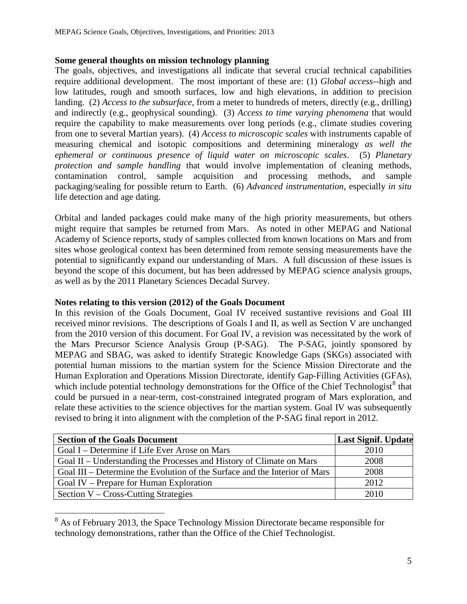#### **Some general thoughts on mission technology planning**

The goals, objectives, and investigations all indicate that several crucial technical capabilities require additional development. The most important of these are: (1) *Global access*--high and low latitudes, rough and smooth surfaces, low and high elevations, in addition to precision landing. (2) *Access to the subsurface*, from a meter to hundreds of meters, directly (e.g., drilling) and indirectly (e.g., geophysical sounding). (3) *Access to time varying phenomena* that would require the capability to make measurements over long periods (e.g., climate studies covering from one to several Martian years). (4) *Access to microscopic scales* with instruments capable of measuring chemical and isotopic compositions and determining mineralogy *as well the ephemeral or continuous presence of liquid water on microscopic scales*. (5) *Planetary protection and sample handling* that would involve implementation of cleaning methods, contamination control, sample acquisition and processing methods, and sample packaging/sealing for possible return to Earth. (6) *Advanced instrumentation*, especially *in situ* life detection and age dating.

Orbital and landed packages could make many of the high priority measurements, but others might require that samples be returned from Mars. As noted in other MEPAG and National Academy of Science reports, study of samples collected from known locations on Mars and from sites whose geological context has been determined from remote sensing measurements have the potential to significantly expand our understanding of Mars. A full discussion of these issues is beyond the scope of this document, but has been addressed by MEPAG science analysis groups, as well as by the 2011 Planetary Sciences Decadal Survey.

### **Notes relating to this version (2012) of the Goals Document**

In this revision of the Goals Document, Goal IV received sustantive revisions and Goal III received minor revisions. The descriptions of Goals I and II, as well as Section V are unchanged from the 2010 version of this document. For Goal IV, a revision was necessitated by the work of the Mars Precursor Science Analysis Group (P-SAG). The P-SAG, jointly sponsored by MEPAG and SBAG, was asked to identify Strategic Knowledge Gaps (SKGs) associated with potential human missions to the martian system for the Science Mission Directorate and the Human Exploration and Operations Mission Directorate, identify Gap-Filling Activities (GFAs), which include potential technology demonstrations for the Office of the Chief Technologist<sup>[8](#page-4-0)</sup> that could be pursued in a near-term, cost-constrained integrated program of Mars exploration, and relate these activities to the science objectives for the martian system. Goal IV was subsequently revised to bring it into alignment with the completion of the P-SAG final report in 2012.

| <b>Section of the Goals Document</b>                                       | <b>Last Signif. Update</b> |
|----------------------------------------------------------------------------|----------------------------|
| Goal I – Determine if Life Ever Arose on Mars                              | 2010                       |
| Goal II – Understanding the Processes and History of Climate on Mars       | 2008                       |
| Goal III – Determine the Evolution of the Surface and the Interior of Mars | 2008                       |
| Goal IV – Prepare for Human Exploration                                    | 2012                       |
| Section $V - Cross-Cutting Strategies$                                     | 2010                       |

<span id="page-4-0"></span> $8$  As of February 2013, the Space Technology Mission Directorate became responsible for technology demonstrations, rather than the Office of the Chief Technologist.  $\overline{a}$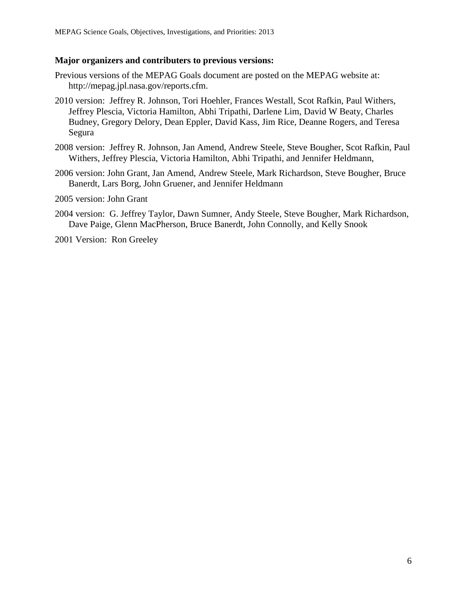#### **Major organizers and contributers to previous versions:**

- Previous versions of the MEPAG Goals document are posted on the MEPAG website at: http://mepag.jpl.nasa.gov/reports.cfm.
- 2010 version: Jeffrey R. Johnson, Tori Hoehler, Frances Westall, Scot Rafkin, Paul Withers, Jeffrey Plescia, Victoria Hamilton, Abhi Tripathi, Darlene Lim, David W Beaty, Charles Budney, Gregory Delory, Dean Eppler, David Kass, Jim Rice, Deanne Rogers, and Teresa Segura
- 2008 version: Jeffrey R. Johnson, Jan Amend, Andrew Steele, Steve Bougher, Scot Rafkin, Paul Withers, Jeffrey Plescia, Victoria Hamilton, Abhi Tripathi, and Jennifer Heldmann,
- 2006 version: John Grant, Jan Amend, Andrew Steele, Mark Richardson, Steve Bougher, Bruce Banerdt, Lars Borg, John Gruener, and Jennifer Heldmann
- 2005 version: John Grant
- 2004 version: G. Jeffrey Taylor, Dawn Sumner, Andy Steele, Steve Bougher, Mark Richardson, Dave Paige, Glenn MacPherson, Bruce Banerdt, John Connolly, and Kelly Snook

2001 Version: Ron Greeley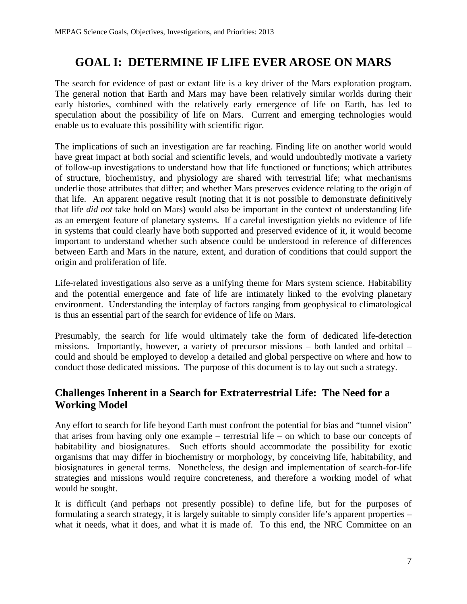# **GOAL I: DETERMINE IF LIFE EVER AROSE ON MARS**

The search for evidence of past or extant life is a key driver of the Mars exploration program. The general notion that Earth and Mars may have been relatively similar worlds during their early histories, combined with the relatively early emergence of life on Earth, has led to speculation about the possibility of life on Mars. Current and emerging technologies would enable us to evaluate this possibility with scientific rigor.

The implications of such an investigation are far reaching. Finding life on another world would have great impact at both social and scientific levels, and would undoubtedly motivate a variety of follow-up investigations to understand how that life functioned or functions; which attributes of structure, biochemistry, and physiology are shared with terrestrial life; what mechanisms underlie those attributes that differ; and whether Mars preserves evidence relating to the origin of that life. An apparent negative result (noting that it is not possible to demonstrate definitively that life *did not* take hold on Mars) would also be important in the context of understanding life as an emergent feature of planetary systems. If a careful investigation yields no evidence of life in systems that could clearly have both supported and preserved evidence of it, it would become important to understand whether such absence could be understood in reference of differences between Earth and Mars in the nature, extent, and duration of conditions that could support the origin and proliferation of life.

Life-related investigations also serve as a unifying theme for Mars system science. Habitability and the potential emergence and fate of life are intimately linked to the evolving planetary environment. Understanding the interplay of factors ranging from geophysical to climatological is thus an essential part of the search for evidence of life on Mars.

Presumably, the search for life would ultimately take the form of dedicated life-detection missions. Importantly, however, a variety of precursor missions – both landed and orbital – could and should be employed to develop a detailed and global perspective on where and how to conduct those dedicated missions. The purpose of this document is to lay out such a strategy.

### **Challenges Inherent in a Search for Extraterrestrial Life: The Need for a Working Model**

Any effort to search for life beyond Earth must confront the potential for bias and "tunnel vision" that arises from having only one example – terrestrial life – on which to base our concepts of habitability and biosignatures. Such efforts should accommodate the possibility for exotic organisms that may differ in biochemistry or morphology, by conceiving life, habitability, and biosignatures in general terms. Nonetheless, the design and implementation of search-for-life strategies and missions would require concreteness, and therefore a working model of what would be sought.

It is difficult (and perhaps not presently possible) to define life, but for the purposes of formulating a search strategy, it is largely suitable to simply consider life's apparent properties – what it needs, what it does, and what it is made of. To this end, the NRC Committee on an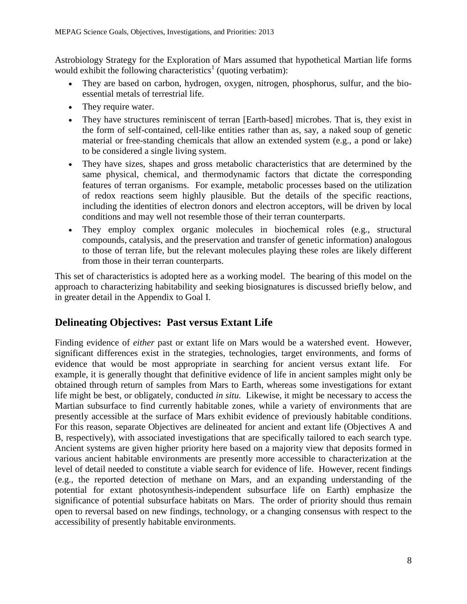Astrobiology Strategy for the Exploration of Mars assumed that hypothetical Martian life forms would exhibit the following characteristics<sup>1</sup> (quoting verbatim):

- They are based on carbon, hydrogen, oxygen, nitrogen, phosphorus, sulfur, and the bioessential metals of terrestrial life.
- They require water.
- They have structures reminiscent of terran [Earth-based] microbes. That is, they exist in the form of self-contained, cell-like entities rather than as, say, a naked soup of genetic material or free-standing chemicals that allow an extended system (e.g., a pond or lake) to be considered a single living system.
- They have sizes, shapes and gross metabolic characteristics that are determined by the same physical, chemical, and thermodynamic factors that dictate the corresponding features of terran organisms. For example, metabolic processes based on the utilization of redox reactions seem highly plausible. But the details of the specific reactions, including the identities of electron donors and electron acceptors, will be driven by local conditions and may well not resemble those of their terran counterparts.
- They employ complex organic molecules in biochemical roles (e.g., structural compounds, catalysis, and the preservation and transfer of genetic information) analogous to those of terran life, but the relevant molecules playing these roles are likely different from those in their terran counterparts.

This set of characteristics is adopted here as a working model. The bearing of this model on the approach to characterizing habitability and seeking biosignatures is discussed briefly below, and in greater detail in the Appendix to Goal I.

### **Delineating Objectives: Past versus Extant Life**

Finding evidence of *either* past or extant life on Mars would be a watershed event. However, significant differences exist in the strategies, technologies, target environments, and forms of evidence that would be most appropriate in searching for ancient versus extant life. For example, it is generally thought that definitive evidence of life in ancient samples might only be obtained through return of samples from Mars to Earth, whereas some investigations for extant life might be best, or obligately, conducted *in situ*. Likewise, it might be necessary to access the Martian subsurface to find currently habitable zones, while a variety of environments that are presently accessible at the surface of Mars exhibit evidence of previously habitable conditions. For this reason, separate Objectives are delineated for ancient and extant life (Objectives A and B, respectively), with associated investigations that are specifically tailored to each search type. Ancient systems are given higher priority here based on a majority view that deposits formed in various ancient habitable environments are presently more accessible to characterization at the level of detail needed to constitute a viable search for evidence of life. However, recent findings (e.g., the reported detection of methane on Mars, and an expanding understanding of the potential for extant photosynthesis-independent subsurface life on Earth) emphasize the significance of potential subsurface habitats on Mars. The order of priority should thus remain open to reversal based on new findings, technology, or a changing consensus with respect to the accessibility of presently habitable environments.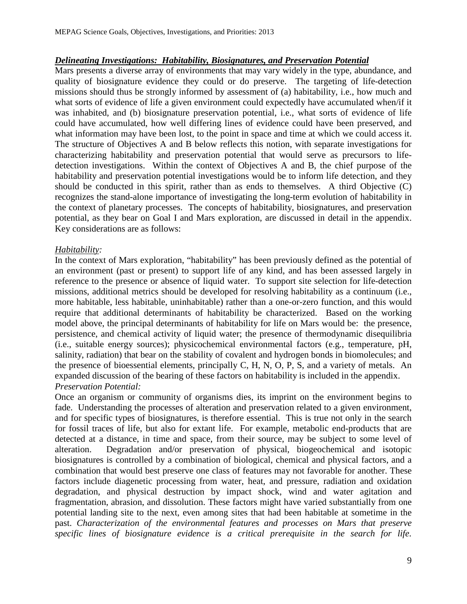#### *Delineating Investigations: Habitability, Biosignatures, and Preservation Potential*

Mars presents a diverse array of environments that may vary widely in the type, abundance, and quality of biosignature evidence they could or do preserve. The targeting of life-detection missions should thus be strongly informed by assessment of (a) habitability, i.e., how much and what sorts of evidence of life a given environment could expectedly have accumulated when/if it was inhabited, and (b) biosignature preservation potential, i.e., what sorts of evidence of life could have accumulated, how well differing lines of evidence could have been preserved, and what information may have been lost, to the point in space and time at which we could access it. The structure of Objectives A and B below reflects this notion, with separate investigations for characterizing habitability and preservation potential that would serve as precursors to lifedetection investigations. Within the context of Objectives A and B, the chief purpose of the habitability and preservation potential investigations would be to inform life detection, and they should be conducted in this spirit, rather than as ends to themselves. A third Objective (C) recognizes the stand-alone importance of investigating the long-term evolution of habitability in the context of planetary processes. The concepts of habitability, biosignatures, and preservation potential, as they bear on Goal I and Mars exploration, are discussed in detail in the appendix. Key considerations are as follows:

#### *Habitability:*

In the context of Mars exploration, "habitability" has been previously defined as the potential of an environment (past or present) to support life of any kind, and has been assessed largely in reference to the presence or absence of liquid water. To support site selection for life-detection missions, additional metrics should be developed for resolving habitability as a continuum (i.e., more habitable, less habitable, uninhabitable) rather than a one-or-zero function, and this would require that additional determinants of habitability be characterized. Based on the working model above, the principal determinants of habitability for life on Mars would be: the presence, persistence, and chemical activity of liquid water; the presence of thermodynamic disequilibria (i.e., suitable energy sources); physicochemical environmental factors (e.g., temperature, pH, salinity, radiation) that bear on the stability of covalent and hydrogen bonds in biomolecules; and the presence of bioessential elements, principally C, H, N, O, P, S, and a variety of metals. An expanded discussion of the bearing of these factors on habitability is included in the appendix. *Preservation Potential:*

Once an organism or community of organisms dies, its imprint on the environment begins to fade. Understanding the processes of alteration and preservation related to a given environment, and for specific types of biosignatures, is therefore essential. This is true not only in the search for fossil traces of life, but also for extant life. For example, metabolic end-products that are detected at a distance, in time and space, from their source, may be subject to some level of alteration. Degradation and/or preservation of physical, biogeochemical and isotopic biosignatures is controlled by a combination of biological, chemical and physical factors, and a combination that would best preserve one class of features may not favorable for another. These factors include diagenetic processing from water, heat, and pressure, radiation and oxidation degradation, and physical destruction by impact shock, wind and water agitation and fragmentation, abrasion, and dissolution. These factors might have varied substantially from one potential landing site to the next, even among sites that had been habitable at sometime in the past. *Characterization of the environmental features and processes on Mars that preserve specific lines of biosignature evidence is a critical prerequisite in the search for life.*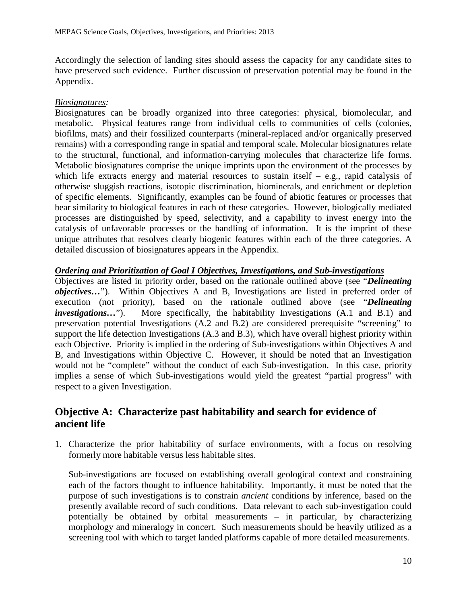Accordingly the selection of landing sites should assess the capacity for any candidate sites to have preserved such evidence. Further discussion of preservation potential may be found in the Appendix.

### *Biosignatures:*

Biosignatures can be broadly organized into three categories: physical, biomolecular, and metabolic. Physical features range from individual cells to communities of cells (colonies, biofilms, mats) and their fossilized counterparts (mineral-replaced and/or organically preserved remains) with a corresponding range in spatial and temporal scale. Molecular biosignatures relate to the structural, functional, and information-carrying molecules that characterize life forms. Metabolic biosignatures comprise the unique imprints upon the environment of the processes by which life extracts energy and material resources to sustain itself – e.g., rapid catalysis of otherwise sluggish reactions, isotopic discrimination, biominerals, and enrichment or depletion of specific elements. Significantly, examples can be found of abiotic features or processes that bear similarity to biological features in each of these categories. However, biologically mediated processes are distinguished by speed, selectivity, and a capability to invest energy into the catalysis of unfavorable processes or the handling of information. It is the imprint of these unique attributes that resolves clearly biogenic features within each of the three categories. A detailed discussion of biosignatures appears in the Appendix.

### *Ordering and Prioritization of Goal I Objectives, Investigations, and Sub-investigations*

Objectives are listed in priority order, based on the rationale outlined above (see "*Delineating objectives…*"). Within Objectives A and B, Investigations are listed in preferred order of execution (not priority), based on the rationale outlined above (see "*Delineating investigations...*"). More specifically, the habitability Investigations (A.1 and B.1) and preservation potential Investigations (A.2 and B.2) are considered prerequisite "screening" to support the life detection Investigations (A.3 and B.3), which have overall highest priority within each Objective. Priority is implied in the ordering of Sub-investigations within Objectives A and B, and Investigations within Objective C. However, it should be noted that an Investigation would not be "complete" without the conduct of each Sub-investigation. In this case, priority implies a sense of which Sub-investigations would yield the greatest "partial progress" with respect to a given Investigation.

### **Objective A: Characterize past habitability and search for evidence of ancient life**

1. Characterize the prior habitability of surface environments, with a focus on resolving formerly more habitable versus less habitable sites.

Sub-investigations are focused on establishing overall geological context and constraining each of the factors thought to influence habitability. Importantly, it must be noted that the purpose of such investigations is to constrain *ancient* conditions by inference, based on the presently available record of such conditions. Data relevant to each sub-investigation could potentially be obtained by orbital measurements – in particular, by characterizing morphology and mineralogy in concert. Such measurements should be heavily utilized as a screening tool with which to target landed platforms capable of more detailed measurements.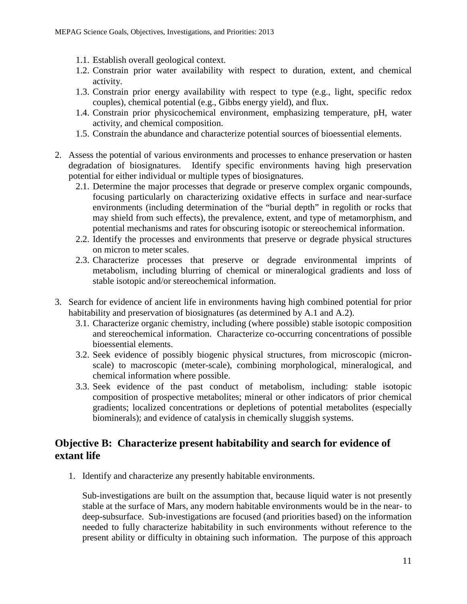- 1.1. Establish overall geological context.
- 1.2. Constrain prior water availability with respect to duration, extent, and chemical activity.
- 1.3. Constrain prior energy availability with respect to type (e.g., light, specific redox couples), chemical potential (e.g., Gibbs energy yield), and flux.
- 1.4. Constrain prior physicochemical environment, emphasizing temperature, pH, water activity, and chemical composition.
- 1.5. Constrain the abundance and characterize potential sources of bioessential elements.
- 2. Assess the potential of various environments and processes to enhance preservation or hasten degradation of biosignatures. Identify specific environments having high preservation potential for either individual or multiple types of biosignatures.
	- 2.1. Determine the major processes that degrade or preserve complex organic compounds, focusing particularly on characterizing oxidative effects in surface and near-surface environments (including determination of the "burial depth" in regolith or rocks that may shield from such effects), the prevalence, extent, and type of metamorphism, and potential mechanisms and rates for obscuring isotopic or stereochemical information.
	- 2.2. Identify the processes and environments that preserve or degrade physical structures on micron to meter scales.
	- 2.3. Characterize processes that preserve or degrade environmental imprints of metabolism, including blurring of chemical or mineralogical gradients and loss of stable isotopic and/or stereochemical information.
- 3. Search for evidence of ancient life in environments having high combined potential for prior habitability and preservation of biosignatures (as determined by A.1 and A.2).
	- 3.1. Characterize organic chemistry, including (where possible) stable isotopic composition and stereochemical information. Characterize co-occurring concentrations of possible bioessential elements.
	- 3.2. Seek evidence of possibly biogenic physical structures, from microscopic (micronscale) to macroscopic (meter-scale), combining morphological, mineralogical, and chemical information where possible.
	- 3.3. Seek evidence of the past conduct of metabolism, including: stable isotopic composition of prospective metabolites; mineral or other indicators of prior chemical gradients; localized concentrations or depletions of potential metabolites (especially biominerals); and evidence of catalysis in chemically sluggish systems.

### **Objective B: Characterize present habitability and search for evidence of extant life**

1. Identify and characterize any presently habitable environments.

Sub-investigations are built on the assumption that, because liquid water is not presently stable at the surface of Mars, any modern habitable environments would be in the near- to deep-subsurface. Sub-investigations are focused (and priorities based) on the information needed to fully characterize habitability in such environments without reference to the present ability or difficulty in obtaining such information. The purpose of this approach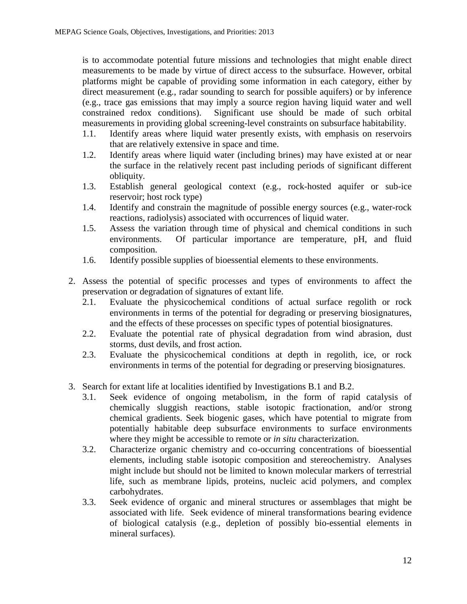is to accommodate potential future missions and technologies that might enable direct measurements to be made by virtue of direct access to the subsurface. However, orbital platforms might be capable of providing some information in each category, either by direct measurement (e.g., radar sounding to search for possible aquifers) or by inference (e.g., trace gas emissions that may imply a source region having liquid water and well constrained redox conditions). Significant use should be made of such orbital measurements in providing global screening-level constraints on subsurface habitability.

- 1.1. Identify areas where liquid water presently exists, with emphasis on reservoirs that are relatively extensive in space and time.
- 1.2. Identify areas where liquid water (including brines) may have existed at or near the surface in the relatively recent past including periods of significant different obliquity.
- 1.3. Establish general geological context (e.g., rock-hosted aquifer or sub-ice reservoir; host rock type)
- 1.4. Identify and constrain the magnitude of possible energy sources (e.g., water-rock reactions, radiolysis) associated with occurrences of liquid water.
- 1.5. Assess the variation through time of physical and chemical conditions in such environments. Of particular importance are temperature, pH, and fluid composition.
- 1.6. Identify possible supplies of bioessential elements to these environments.
- 2. Assess the potential of specific processes and types of environments to affect the preservation or degradation of signatures of extant life.
	- 2.1. Evaluate the physicochemical conditions of actual surface regolith or rock environments in terms of the potential for degrading or preserving biosignatures, and the effects of these processes on specific types of potential biosignatures.
	- 2.2. Evaluate the potential rate of physical degradation from wind abrasion, dust storms, dust devils, and frost action.
	- 2.3. Evaluate the physicochemical conditions at depth in regolith, ice, or rock environments in terms of the potential for degrading or preserving biosignatures.
- 3. Search for extant life at localities identified by Investigations B.1 and B.2.
	- 3.1. Seek evidence of ongoing metabolism, in the form of rapid catalysis of chemically sluggish reactions, stable isotopic fractionation, and/or strong chemical gradients. Seek biogenic gases, which have potential to migrate from potentially habitable deep subsurface environments to surface environments where they might be accessible to remote or *in situ* characterization.
	- 3.2. Characterize organic chemistry and co-occurring concentrations of bioessential elements, including stable isotopic composition and stereochemistry. Analyses might include but should not be limited to known molecular markers of terrestrial life, such as membrane lipids, proteins, nucleic acid polymers, and complex carbohydrates.
	- 3.3. Seek evidence of organic and mineral structures or assemblages that might be associated with life. Seek evidence of mineral transformations bearing evidence of biological catalysis (e.g., depletion of possibly bio-essential elements in mineral surfaces).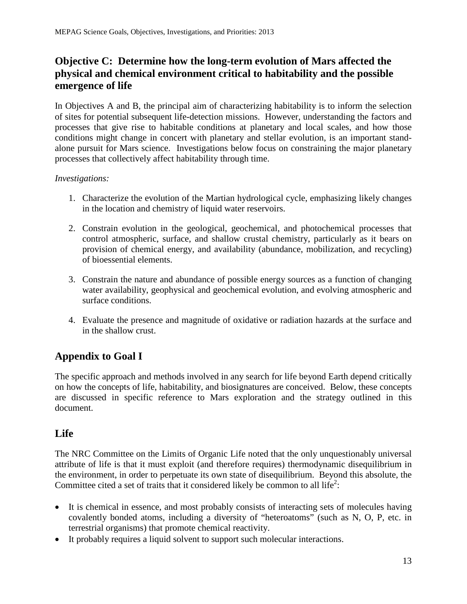### **Objective C: Determine how the long-term evolution of Mars affected the physical and chemical environment critical to habitability and the possible emergence of life**

In Objectives A and B, the principal aim of characterizing habitability is to inform the selection of sites for potential subsequent life-detection missions. However, understanding the factors and processes that give rise to habitable conditions at planetary and local scales, and how those conditions might change in concert with planetary and stellar evolution, is an important standalone pursuit for Mars science. Investigations below focus on constraining the major planetary processes that collectively affect habitability through time.

### *Investigations:*

- 1. Characterize the evolution of the Martian hydrological cycle, emphasizing likely changes in the location and chemistry of liquid water reservoirs.
- 2. Constrain evolution in the geological, geochemical, and photochemical processes that control atmospheric, surface, and shallow crustal chemistry, particularly as it bears on provision of chemical energy, and availability (abundance, mobilization, and recycling) of bioessential elements.
- 3. Constrain the nature and abundance of possible energy sources as a function of changing water availability, geophysical and geochemical evolution, and evolving atmospheric and surface conditions.
- 4. Evaluate the presence and magnitude of oxidative or radiation hazards at the surface and in the shallow crust.

# **Appendix to Goal I**

The specific approach and methods involved in any search for life beyond Earth depend critically on how the concepts of life, habitability, and biosignatures are conceived. Below, these concepts are discussed in specific reference to Mars exploration and the strategy outlined in this document.

### **Life**

The NRC Committee on the Limits of Organic Life noted that the only unquestionably universal attribute of life is that it must exploit (and therefore requires) thermodynamic disequilibrium in the environment, in order to perpetuate its own state of disequilibrium. Beyond this absolute, the Committee cited a set of traits that it considered likely be common to all life<sup>2</sup>:

- It is chemical in essence, and most probably consists of interacting sets of molecules having covalently bonded atoms, including a diversity of "heteroatoms" (such as N, O, P, etc. in terrestrial organisms) that promote chemical reactivity.
- It probably requires a liquid solvent to support such molecular interactions.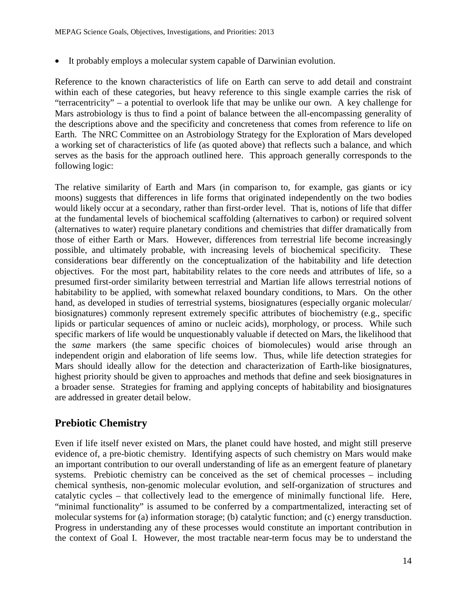• It probably employs a molecular system capable of Darwinian evolution.

Reference to the known characteristics of life on Earth can serve to add detail and constraint within each of these categories, but heavy reference to this single example carries the risk of "terracentricity" – a potential to overlook life that may be unlike our own. A key challenge for Mars astrobiology is thus to find a point of balance between the all-encompassing generality of the descriptions above and the specificity and concreteness that comes from reference to life on Earth. The NRC Committee on an Astrobiology Strategy for the Exploration of Mars developed a working set of characteristics of life (as quoted above) that reflects such a balance, and which serves as the basis for the approach outlined here. This approach generally corresponds to the following logic:

The relative similarity of Earth and Mars (in comparison to, for example, gas giants or icy moons) suggests that differences in life forms that originated independently on the two bodies would likely occur at a secondary, rather than first-order level. That is, notions of life that differ at the fundamental levels of biochemical scaffolding (alternatives to carbon) or required solvent (alternatives to water) require planetary conditions and chemistries that differ dramatically from those of either Earth or Mars. However, differences from terrestrial life become increasingly possible, and ultimately probable, with increasing levels of biochemical specificity. These considerations bear differently on the conceptualization of the habitability and life detection objectives. For the most part, habitability relates to the core needs and attributes of life, so a presumed first-order similarity between terrestrial and Martian life allows terrestrial notions of habitability to be applied, with somewhat relaxed boundary conditions, to Mars. On the other hand, as developed in studies of terrestrial systems, biosignatures (especially organic molecular/ biosignatures) commonly represent extremely specific attributes of biochemistry (e.g., specific lipids or particular sequences of amino or nucleic acids), morphology, or process. While such specific markers of life would be unquestionably valuable if detected on Mars, the likelihood that the *same* markers (the same specific choices of biomolecules) would arise through an independent origin and elaboration of life seems low. Thus, while life detection strategies for Mars should ideally allow for the detection and characterization of Earth-like biosignatures, highest priority should be given to approaches and methods that define and seek biosignatures in a broader sense. Strategies for framing and applying concepts of habitability and biosignatures are addressed in greater detail below.

## **Prebiotic Chemistry**

Even if life itself never existed on Mars, the planet could have hosted, and might still preserve evidence of, a pre-biotic chemistry. Identifying aspects of such chemistry on Mars would make an important contribution to our overall understanding of life as an emergent feature of planetary systems. Prebiotic chemistry can be conceived as the set of chemical processes – including chemical synthesis, non-genomic molecular evolution, and self-organization of structures and catalytic cycles – that collectively lead to the emergence of minimally functional life. Here, "minimal functionality" is assumed to be conferred by a compartmentalized, interacting set of molecular systems for (a) information storage; (b) catalytic function; and (c) energy transduction. Progress in understanding any of these processes would constitute an important contribution in the context of Goal I. However, the most tractable near-term focus may be to understand the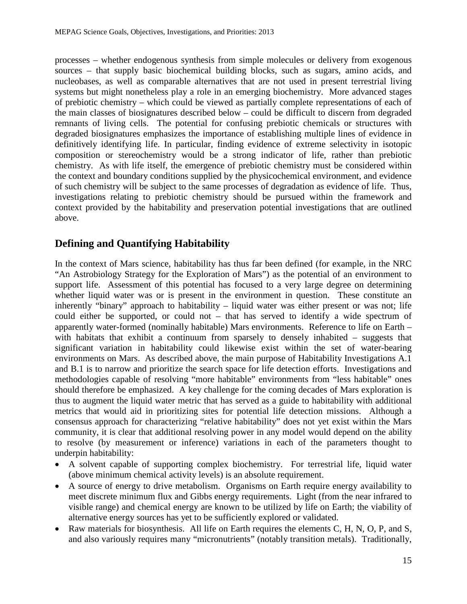processes – whether endogenous synthesis from simple molecules or delivery from exogenous sources – that supply basic biochemical building blocks, such as sugars, amino acids, and nucleobases, as well as comparable alternatives that are not used in present terrestrial living systems but might nonetheless play a role in an emerging biochemistry. More advanced stages of prebiotic chemistry – which could be viewed as partially complete representations of each of the main classes of biosignatures described below – could be difficult to discern from degraded remnants of living cells. The potential for confusing prebiotic chemicals or structures with degraded biosignatures emphasizes the importance of establishing multiple lines of evidence in definitively identifying life. In particular, finding evidence of extreme selectivity in isotopic composition or stereochemistry would be a strong indicator of life, rather than prebiotic chemistry. As with life itself, the emergence of prebiotic chemistry must be considered within the context and boundary conditions supplied by the physicochemical environment, and evidence of such chemistry will be subject to the same processes of degradation as evidence of life. Thus, investigations relating to prebiotic chemistry should be pursued within the framework and context provided by the habitability and preservation potential investigations that are outlined above.

### **Defining and Quantifying Habitability**

In the context of Mars science, habitability has thus far been defined (for example, in the NRC "An Astrobiology Strategy for the Exploration of Mars") as the potential of an environment to support life. Assessment of this potential has focused to a very large degree on determining whether liquid water was or is present in the environment in question. These constitute an inherently "binary" approach to habitability – liquid water was either present or was not; life could either be supported, or could not – that has served to identify a wide spectrum of apparently water-formed (nominally habitable) Mars environments. Reference to life on Earth – with habitats that exhibit a continuum from sparsely to densely inhabited – suggests that significant variation in habitability could likewise exist within the set of water-bearing environments on Mars. As described above, the main purpose of Habitability Investigations A.1 and B.1 is to narrow and prioritize the search space for life detection efforts. Investigations and methodologies capable of resolving "more habitable" environments from "less habitable" ones should therefore be emphasized. A key challenge for the coming decades of Mars exploration is thus to augment the liquid water metric that has served as a guide to habitability with additional metrics that would aid in prioritizing sites for potential life detection missions. Although a consensus approach for characterizing "relative habitability" does not yet exist within the Mars community, it is clear that additional resolving power in any model would depend on the ability to resolve (by measurement or inference) variations in each of the parameters thought to underpin habitability:

- A solvent capable of supporting complex biochemistry. For terrestrial life, liquid water (above minimum chemical activity levels) is an absolute requirement.
- A source of energy to drive metabolism. Organisms on Earth require energy availability to meet discrete minimum flux and Gibbs energy requirements. Light (from the near infrared to visible range) and chemical energy are known to be utilized by life on Earth; the viability of alternative energy sources has yet to be sufficiently explored or validated.
- Raw materials for biosynthesis. All life on Earth requires the elements C, H, N, O, P, and S, and also variously requires many "micronutrients" (notably transition metals). Traditionally,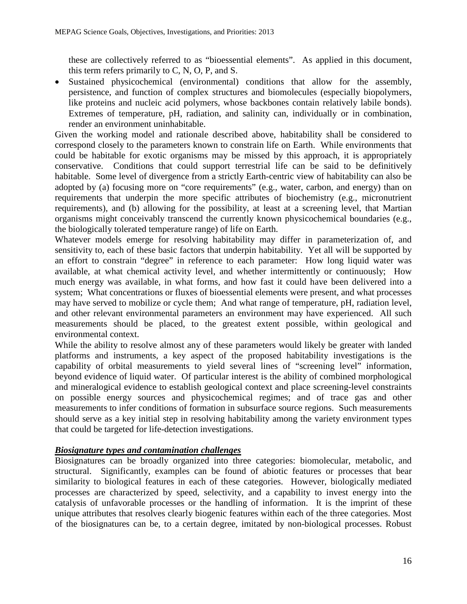these are collectively referred to as "bioessential elements". As applied in this document, this term refers primarily to C, N, O, P, and S.

Sustained physicochemical (environmental) conditions that allow for the assembly, persistence, and function of complex structures and biomolecules (especially biopolymers, like proteins and nucleic acid polymers, whose backbones contain relatively labile bonds). Extremes of temperature, pH, radiation, and salinity can, individually or in combination, render an environment uninhabitable.

Given the working model and rationale described above, habitability shall be considered to correspond closely to the parameters known to constrain life on Earth. While environments that could be habitable for exotic organisms may be missed by this approach, it is appropriately conservative. Conditions that could support terrestrial life can be said to be definitively habitable. Some level of divergence from a strictly Earth-centric view of habitability can also be adopted by (a) focusing more on "core requirements" (e.g., water, carbon, and energy) than on requirements that underpin the more specific attributes of biochemistry (e.g., micronutrient requirements), and (b) allowing for the possibility, at least at a screening level, that Martian organisms might conceivably transcend the currently known physicochemical boundaries (e.g., the biologically tolerated temperature range) of life on Earth.

Whatever models emerge for resolving habitability may differ in parameterization of, and sensitivity to, each of these basic factors that underpin habitability. Yet all will be supported by an effort to constrain "degree" in reference to each parameter: How long liquid water was available, at what chemical activity level, and whether intermittently or continuously; How much energy was available, in what forms, and how fast it could have been delivered into a system; What concentrations or fluxes of bioessential elements were present, and what processes may have served to mobilize or cycle them; And what range of temperature, pH, radiation level, and other relevant environmental parameters an environment may have experienced. All such measurements should be placed, to the greatest extent possible, within geological and environmental context.

While the ability to resolve almost any of these parameters would likely be greater with landed platforms and instruments, a key aspect of the proposed habitability investigations is the capability of orbital measurements to yield several lines of "screening level" information, beyond evidence of liquid water. Of particular interest is the ability of combined morphological and mineralogical evidence to establish geological context and place screening-level constraints on possible energy sources and physicochemical regimes; and of trace gas and other measurements to infer conditions of formation in subsurface source regions. Such measurements should serve as a key initial step in resolving habitability among the variety environment types that could be targeted for life-detection investigations.

### *Biosignature types and contamination challenges*

Biosignatures can be broadly organized into three categories: biomolecular, metabolic, and structural. Significantly, examples can be found of abiotic features or processes that bear similarity to biological features in each of these categories. However, biologically mediated processes are characterized by speed, selectivity, and a capability to invest energy into the catalysis of unfavorable processes or the handling of information. It is the imprint of these unique attributes that resolves clearly biogenic features within each of the three categories. Most of the biosignatures can be, to a certain degree, imitated by non-biological processes. Robust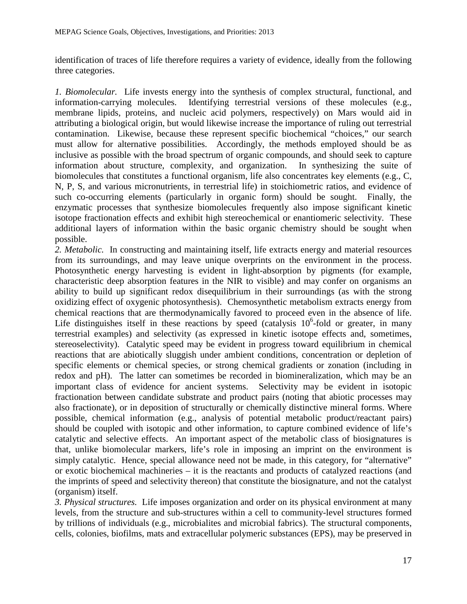identification of traces of life therefore requires a variety of evidence, ideally from the following three categories.

*1. Biomolecular.* Life invests energy into the synthesis of complex structural, functional, and information-carrying molecules. Identifying terrestrial versions of these molecules (e.g., membrane lipids, proteins, and nucleic acid polymers, respectively) on Mars would aid in attributing a biological origin, but would likewise increase the importance of ruling out terrestrial contamination. Likewise, because these represent specific biochemical "choices," our search must allow for alternative possibilities. Accordingly, the methods employed should be as inclusive as possible with the broad spectrum of organic compounds, and should seek to capture information about structure, complexity, and organization. In synthesizing the suite of biomolecules that constitutes a functional organism, life also concentrates key elements (e.g., C, N, P, S, and various micronutrients, in terrestrial life) in stoichiometric ratios, and evidence of such co-occurring elements (particularly in organic form) should be sought. Finally, the enzymatic processes that synthesize biomolecules frequently also impose significant kinetic isotope fractionation effects and exhibit high stereochemical or enantiomeric selectivity. These additional layers of information within the basic organic chemistry should be sought when possible.

*2. Metabolic.* In constructing and maintaining itself, life extracts energy and material resources from its surroundings, and may leave unique overprints on the environment in the process. Photosynthetic energy harvesting is evident in light-absorption by pigments (for example, characteristic deep absorption features in the NIR to visible) and may confer on organisms an ability to build up significant redox disequilibrium in their surroundings (as with the strong oxidizing effect of oxygenic photosynthesis). Chemosynthetic metabolism extracts energy from chemical reactions that are thermodynamically favored to proceed even in the absence of life. Life distinguishes itself in these reactions by speed (catalysis  $10^6$ -fold or greater, in many terrestrial examples) and selectivity (as expressed in kinetic isotope effects and, sometimes, stereoselectivity). Catalytic speed may be evident in progress toward equilibrium in chemical reactions that are abiotically sluggish under ambient conditions, concentration or depletion of specific elements or chemical species, or strong chemical gradients or zonation (including in redox and pH). The latter can sometimes be recorded in biomineralization, which may be an important class of evidence for ancient systems. Selectivity may be evident in isotopic fractionation between candidate substrate and product pairs (noting that abiotic processes may also fractionate), or in deposition of structurally or chemically distinctive mineral forms. Where possible, chemical information (e.g., analysis of potential metabolic product/reactant pairs) should be coupled with isotopic and other information, to capture combined evidence of life's catalytic and selective effects. An important aspect of the metabolic class of biosignatures is that, unlike biomolecular markers, life's role in imposing an imprint on the environment is simply catalytic. Hence, special allowance need not be made, in this category, for "alternative" or exotic biochemical machineries – it is the reactants and products of catalyzed reactions (and the imprints of speed and selectivity thereon) that constitute the biosignature, and not the catalyst (organism) itself.

*3. Physical structures.* Life imposes organization and order on its physical environment at many levels, from the structure and sub-structures within a cell to community-level structures formed by trillions of individuals (e.g., microbialites and microbial fabrics). The structural components, cells, colonies, biofilms, mats and extracellular polymeric substances (EPS), may be preserved in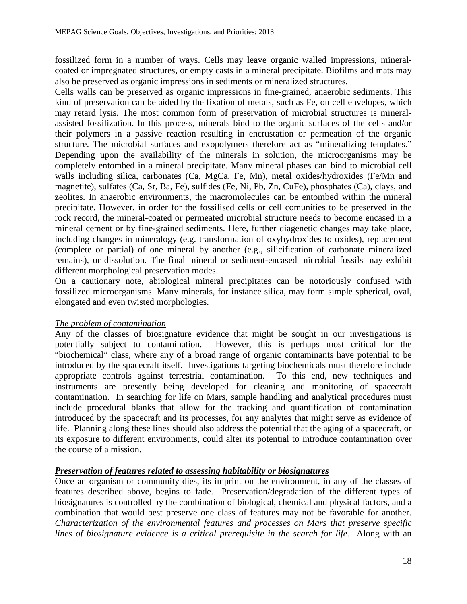fossilized form in a number of ways. Cells may leave organic walled impressions, mineralcoated or impregnated structures, or empty casts in a mineral precipitate. Biofilms and mats may also be preserved as organic impressions in sediments or mineralized structures.

Cells walls can be preserved as organic impressions in fine-grained, anaerobic sediments. This kind of preservation can be aided by the fixation of metals, such as Fe, on cell envelopes, which may retard lysis. The most common form of preservation of microbial structures is mineralassisted fossilization. In this process, minerals bind to the organic surfaces of the cells and/or their polymers in a passive reaction resulting in encrustation or permeation of the organic structure. The microbial surfaces and exopolymers therefore act as "mineralizing templates." Depending upon the availability of the minerals in solution, the microorganisms may be completely entombed in a mineral precipitate. Many mineral phases can bind to microbial cell walls including silica, carbonates (Ca, MgCa, Fe, Mn), metal oxides/hydroxides (Fe/Mn and magnetite), sulfates (Ca, Sr, Ba, Fe), sulfides (Fe, Ni, Pb, Zn, CuFe), phosphates (Ca), clays, and zeolites. In anaerobic environments, the macromolecules can be entombed within the mineral precipitate. However, in order for the fossilised cells or cell comunities to be preserved in the rock record, the mineral-coated or permeated microbial structure needs to become encased in a mineral cement or by fine-grained sediments. Here, further diagenetic changes may take place, including changes in mineralogy (e.g. transformation of oxyhydroxides to oxides), replacement (complete or partial) of one mineral by another (e.g., silicification of carbonate mineralized remains), or dissolution. The final mineral or sediment-encased microbial fossils may exhibit different morphological preservation modes.

On a cautionary note, abiological mineral precipitates can be notoriously confused with fossilized microorganisms. Many minerals, for instance silica, may form simple spherical, oval, elongated and even twisted morphologies.

### *The problem of contamination*

Any of the classes of biosignature evidence that might be sought in our investigations is potentially subject to contamination. However, this is perhaps most critical for the "biochemical" class, where any of a broad range of organic contaminants have potential to be introduced by the spacecraft itself. Investigations targeting biochemicals must therefore include appropriate controls against terrestrial contamination. To this end, new techniques and instruments are presently being developed for cleaning and monitoring of spacecraft contamination. In searching for life on Mars, sample handling and analytical procedures must include procedural blanks that allow for the tracking and quantification of contamination introduced by the spacecraft and its processes, for any analytes that might serve as evidence of life. Planning along these lines should also address the potential that the aging of a spacecraft, or its exposure to different environments, could alter its potential to introduce contamination over the course of a mission.

### *Preservation of features related to assessing habitability or biosignatures*

Once an organism or community dies, its imprint on the environment, in any of the classes of features described above, begins to fade. Preservation/degradation of the different types of biosignatures is controlled by the combination of biological, chemical and physical factors, and a combination that would best preserve one class of features may not be favorable for another. *Characterization of the environmental features and processes on Mars that preserve specific lines of biosignature evidence is a critical prerequisite in the search for life.* Along with an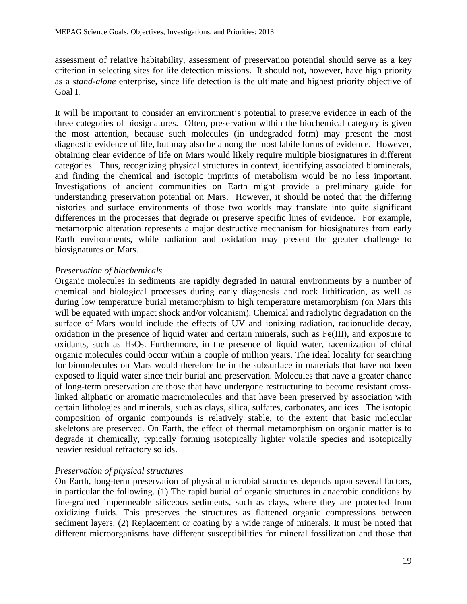assessment of relative habitability, assessment of preservation potential should serve as a key criterion in selecting sites for life detection missions. It should not, however, have high priority as a *stand-alone* enterprise, since life detection is the ultimate and highest priority objective of Goal I.

It will be important to consider an environment's potential to preserve evidence in each of the three categories of biosignatures. Often, preservation within the biochemical category is given the most attention, because such molecules (in undegraded form) may present the most diagnostic evidence of life, but may also be among the most labile forms of evidence. However, obtaining clear evidence of life on Mars would likely require multiple biosignatures in different categories. Thus, recognizing physical structures in context, identifying associated biominerals, and finding the chemical and isotopic imprints of metabolism would be no less important. Investigations of ancient communities on Earth might provide a preliminary guide for understanding preservation potential on Mars. However, it should be noted that the differing histories and surface environments of those two worlds may translate into quite significant differences in the processes that degrade or preserve specific lines of evidence. For example, metamorphic alteration represents a major destructive mechanism for biosignatures from early Earth environments, while radiation and oxidation may present the greater challenge to biosignatures on Mars.

#### *Preservation of biochemicals*

Organic molecules in sediments are rapidly degraded in natural environments by a number of chemical and biological processes during early diagenesis and rock lithification, as well as during low temperature burial metamorphism to high temperature metamorphism (on Mars this will be equated with impact shock and/or volcanism). Chemical and radiolytic degradation on the surface of Mars would include the effects of UV and ionizing radiation, radionuclide decay, oxidation in the presence of liquid water and certain minerals, such as Fe(III), and exposure to oxidants, such as  $H_2O_2$ . Furthermore, in the presence of liquid water, racemization of chiral organic molecules could occur within a couple of million years. The ideal locality for searching for biomolecules on Mars would therefore be in the subsurface in materials that have not been exposed to liquid water since their burial and preservation. Molecules that have a greater chance of long-term preservation are those that have undergone restructuring to become resistant crosslinked aliphatic or aromatic macromolecules and that have been preserved by association with certain lithologies and minerals, such as clays, silica, sulfates, carbonates, and ices. The isotopic composition of organic compounds is relatively stable, to the extent that basic molecular skeletons are preserved. On Earth, the effect of thermal metamorphism on organic matter is to degrade it chemically, typically forming isotopically lighter volatile species and isotopically heavier residual refractory solids.

### *Preservation of physical structures*

On Earth, long-term preservation of physical microbial structures depends upon several factors, in particular the following. (1) The rapid burial of organic structures in anaerobic conditions by fine-grained impermeable siliceous sediments, such as clays, where they are protected from oxidizing fluids. This preserves the structures as flattened organic compressions between sediment layers. (2) Replacement or coating by a wide range of minerals. It must be noted that different microorganisms have different susceptibilities for mineral fossilization and those that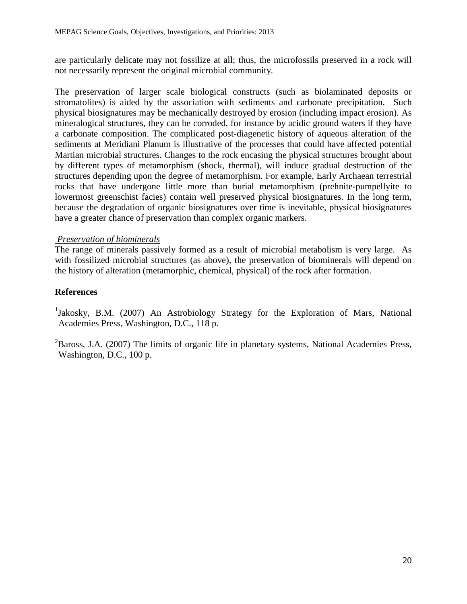are particularly delicate may not fossilize at all; thus, the microfossils preserved in a rock will not necessarily represent the original microbial community.

The preservation of larger scale biological constructs (such as biolaminated deposits or stromatolites) is aided by the association with sediments and carbonate precipitation. Such physical biosignatures may be mechanically destroyed by erosion (including impact erosion). As mineralogical structures, they can be corroded, for instance by acidic ground waters if they have a carbonate composition. The complicated post-diagenetic history of aqueous alteration of the sediments at Meridiani Planum is illustrative of the processes that could have affected potential Martian microbial structures. Changes to the rock encasing the physical structures brought about by different types of metamorphism (shock, thermal), will induce gradual destruction of the structures depending upon the degree of metamorphism. For example, Early Archaean terrestrial rocks that have undergone little more than burial metamorphism (prehnite-pumpellyite to lowermost greenschist facies) contain well preserved physical biosignatures. In the long term, because the degradation of organic biosignatures over time is inevitable, physical biosignatures have a greater chance of preservation than complex organic markers.

### *Preservation of biominerals*

The range of minerals passively formed as a result of microbial metabolism is very large. As with fossilized microbial structures (as above), the preservation of biominerals will depend on the history of alteration (metamorphic, chemical, physical) of the rock after formation.

### **References**

<sup>1</sup>Jakosky, B.M. (2007) An Astrobiology Strategy for the Exploration of Mars, National Academies Press, Washington, D.C., 118 p.

 ${}^{2}$ Baross, J.A. (2007) The limits of organic life in planetary systems, National Academies Press, Washington, D.C., 100 p.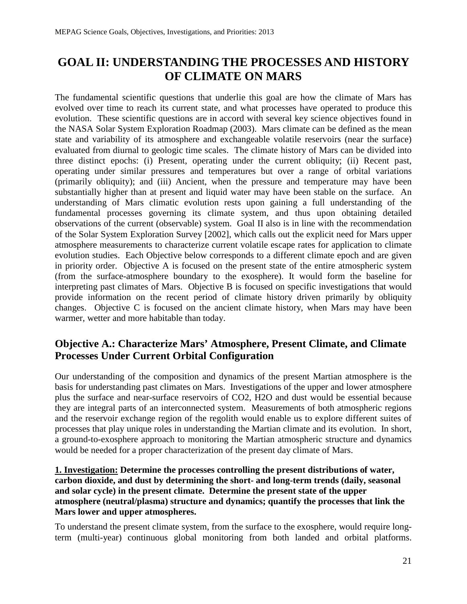# **GOAL II: UNDERSTANDING THE PROCESSES AND HISTORY OF CLIMATE ON MARS**

The fundamental scientific questions that underlie this goal are how the climate of Mars has evolved over time to reach its current state, and what processes have operated to produce this evolution. These scientific questions are in accord with several key science objectives found in the NASA Solar System Exploration Roadmap (2003). Mars climate can be defined as the mean state and variability of its atmosphere and exchangeable volatile reservoirs (near the surface) evaluated from diurnal to geologic time scales. The climate history of Mars can be divided into three distinct epochs: (i) Present, operating under the current obliquity; (ii) Recent past, operating under similar pressures and temperatures but over a range of orbital variations (primarily obliquity); and (iii) Ancient, when the pressure and temperature may have been substantially higher than at present and liquid water may have been stable on the surface. An understanding of Mars climatic evolution rests upon gaining a full understanding of the fundamental processes governing its climate system, and thus upon obtaining detailed observations of the current (observable) system. Goal II also is in line with the recommendation of the Solar System Exploration Survey [2002], which calls out the explicit need for Mars upper atmosphere measurements to characterize current volatile escape rates for application to climate evolution studies. Each Objective below corresponds to a different climate epoch and are given in priority order. Objective A is focused on the present state of the entire atmospheric system (from the surface-atmosphere boundary to the exosphere). It would form the baseline for interpreting past climates of Mars. Objective B is focused on specific investigations that would provide information on the recent period of climate history driven primarily by obliquity changes. Objective C is focused on the ancient climate history, when Mars may have been warmer, wetter and more habitable than today.

### **Objective A.: Characterize Mars' Atmosphere, Present Climate, and Climate Processes Under Current Orbital Configuration**

Our understanding of the composition and dynamics of the present Martian atmosphere is the basis for understanding past climates on Mars. Investigations of the upper and lower atmosphere plus the surface and near-surface reservoirs of CO2, H2O and dust would be essential because they are integral parts of an interconnected system. Measurements of both atmospheric regions and the reservoir exchange region of the regolith would enable us to explore different suites of processes that play unique roles in understanding the Martian climate and its evolution. In short, a ground-to-exosphere approach to monitoring the Martian atmospheric structure and dynamics would be needed for a proper characterization of the present day climate of Mars.

### **1. Investigation: Determine the processes controlling the present distributions of water, carbon dioxide, and dust by determining the short- and long-term trends (daily, seasonal and solar cycle) in the present climate. Determine the present state of the upper atmosphere (neutral/plasma) structure and dynamics; quantify the processes that link the Mars lower and upper atmospheres.**

To understand the present climate system, from the surface to the exosphere, would require longterm (multi-year) continuous global monitoring from both landed and orbital platforms.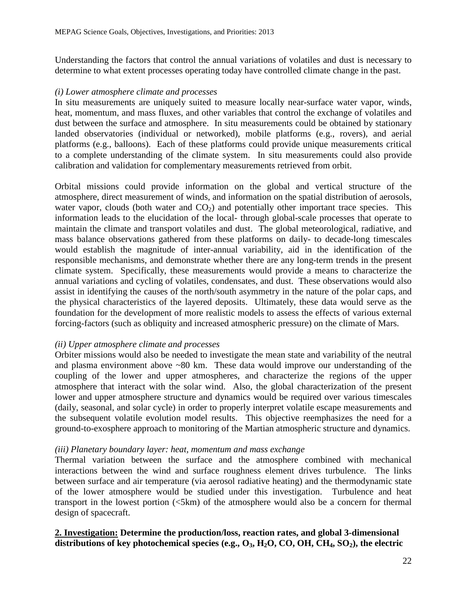Understanding the factors that control the annual variations of volatiles and dust is necessary to determine to what extent processes operating today have controlled climate change in the past.

#### *(i) Lower atmosphere climate and processes*

In situ measurements are uniquely suited to measure locally near-surface water vapor, winds, heat, momentum, and mass fluxes, and other variables that control the exchange of volatiles and dust between the surface and atmosphere. In situ measurements could be obtained by stationary landed observatories (individual or networked), mobile platforms (e.g., rovers), and aerial platforms (e.g., balloons). Each of these platforms could provide unique measurements critical to a complete understanding of the climate system. In situ measurements could also provide calibration and validation for complementary measurements retrieved from orbit.

Orbital missions could provide information on the global and vertical structure of the atmosphere, direct measurement of winds, and information on the spatial distribution of aerosols, water vapor, clouds (both water and  $CO<sub>2</sub>$ ) and potentially other important trace species. This information leads to the elucidation of the local- through global-scale processes that operate to maintain the climate and transport volatiles and dust. The global meteorological, radiative, and mass balance observations gathered from these platforms on daily- to decade-long timescales would establish the magnitude of inter-annual variability, aid in the identification of the responsible mechanisms, and demonstrate whether there are any long-term trends in the present climate system. Specifically, these measurements would provide a means to characterize the annual variations and cycling of volatiles, condensates, and dust. These observations would also assist in identifying the causes of the north/south asymmetry in the nature of the polar caps, and the physical characteristics of the layered deposits. Ultimately, these data would serve as the foundation for the development of more realistic models to assess the effects of various external forcing-factors (such as obliquity and increased atmospheric pressure) on the climate of Mars.

#### *(ii) Upper atmosphere climate and processes*

Orbiter missions would also be needed to investigate the mean state and variability of the neutral and plasma environment above ~80 km. These data would improve our understanding of the coupling of the lower and upper atmospheres, and characterize the regions of the upper atmosphere that interact with the solar wind. Also, the global characterization of the present lower and upper atmosphere structure and dynamics would be required over various timescales (daily, seasonal, and solar cycle) in order to properly interpret volatile escape measurements and the subsequent volatile evolution model results. This objective reemphasizes the need for a ground-to-exosphere approach to monitoring of the Martian atmospheric structure and dynamics.

#### *(iii) Planetary boundary layer: heat, momentum and mass exchange*

Thermal variation between the surface and the atmosphere combined with mechanical interactions between the wind and surface roughness element drives turbulence. The links between surface and air temperature (via aerosol radiative heating) and the thermodynamic state of the lower atmosphere would be studied under this investigation. Turbulence and heat transport in the lowest portion  $\langle \leq 5km \rangle$  of the atmosphere would also be a concern for thermal design of spacecraft.

#### **2. Investigation: Determine the production/loss, reaction rates, and global 3-dimensional**  distributions of key photochemical species (e.g., O<sub>3</sub>, H<sub>2</sub>O, CO, OH, CH<sub>4</sub>, SO<sub>2</sub>), the electric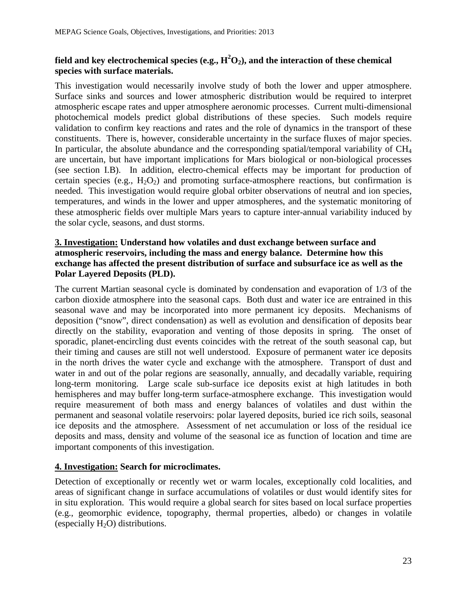### field and key electrochemical species (e.g.,  $\text{H}^2\text{O}_2$ ), and the interaction of these chemical **species with surface materials.**

This investigation would necessarily involve study of both the lower and upper atmosphere. Surface sinks and sources and lower atmospheric distribution would be required to interpret atmospheric escape rates and upper atmosphere aeronomic processes. Current multi-dimensional photochemical models predict global distributions of these species. Such models require validation to confirm key reactions and rates and the role of dynamics in the transport of these constituents. There is, however, considerable uncertainty in the surface fluxes of major species. In particular, the absolute abundance and the corresponding spatial/temporal variability of CH<sub>4</sub> are uncertain, but have important implications for Mars biological or non-biological processes (see section I.B). In addition, electro-chemical effects may be important for production of certain species (e.g.,  $H_2O_2$ ) and promoting surface-atmosphere reactions, but confirmation is needed. This investigation would require global orbiter observations of neutral and ion species, temperatures, and winds in the lower and upper atmospheres, and the systematic monitoring of these atmospheric fields over multiple Mars years to capture inter-annual variability induced by the solar cycle, seasons, and dust storms.

#### **3. Investigation: Understand how volatiles and dust exchange between surface and atmospheric reservoirs, including the mass and energy balance. Determine how this exchange has affected the present distribution of surface and subsurface ice as well as the Polar Layered Deposits (PLD).**

The current Martian seasonal cycle is dominated by condensation and evaporation of 1/3 of the carbon dioxide atmosphere into the seasonal caps. Both dust and water ice are entrained in this seasonal wave and may be incorporated into more permanent icy deposits. Mechanisms of deposition ("snow", direct condensation) as well as evolution and densification of deposits bear directly on the stability, evaporation and venting of those deposits in spring. The onset of sporadic, planet-encircling dust events coincides with the retreat of the south seasonal cap, but their timing and causes are still not well understood. Exposure of permanent water ice deposits in the north drives the water cycle and exchange with the atmosphere. Transport of dust and water in and out of the polar regions are seasonally, annually, and decadally variable, requiring long-term monitoring. Large scale sub-surface ice deposits exist at high latitudes in both hemispheres and may buffer long-term surface-atmosphere exchange. This investigation would require measurement of both mass and energy balances of volatiles and dust within the permanent and seasonal volatile reservoirs: polar layered deposits, buried ice rich soils, seasonal ice deposits and the atmosphere. Assessment of net accumulation or loss of the residual ice deposits and mass, density and volume of the seasonal ice as function of location and time are important components of this investigation.

### **4. Investigation: Search for microclimates.**

Detection of exceptionally or recently wet or warm locales, exceptionally cold localities, and areas of significant change in surface accumulations of volatiles or dust would identify sites for in situ exploration. This would require a global search for sites based on local surface properties (e.g., geomorphic evidence, topography, thermal properties, albedo) or changes in volatile (especially  $H_2O$ ) distributions.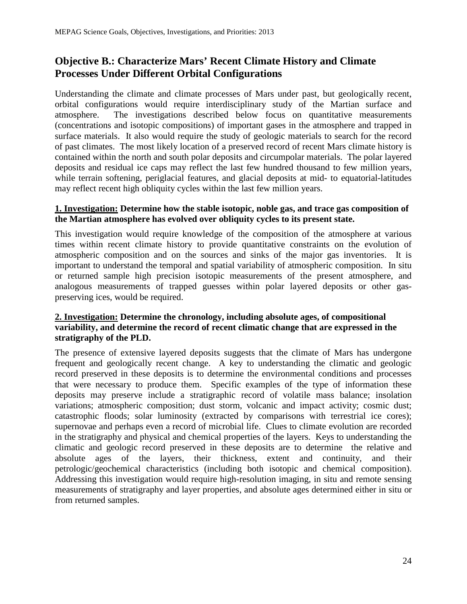### **Objective B.: Characterize Mars' Recent Climate History and Climate Processes Under Different Orbital Configurations**

Understanding the climate and climate processes of Mars under past, but geologically recent, orbital configurations would require interdisciplinary study of the Martian surface and atmosphere. The investigations described below focus on quantitative measurements (concentrations and isotopic compositions) of important gases in the atmosphere and trapped in surface materials. It also would require the study of geologic materials to search for the record of past climates. The most likely location of a preserved record of recent Mars climate history is contained within the north and south polar deposits and circumpolar materials. The polar layered deposits and residual ice caps may reflect the last few hundred thousand to few million years, while terrain softening, periglacial features, and glacial deposits at mid- to equatorial-latitudes may reflect recent high obliquity cycles within the last few million years.

#### **1. Investigation: Determine how the stable isotopic, noble gas, and trace gas composition of the Martian atmosphere has evolved over obliquity cycles to its present state.**

This investigation would require knowledge of the composition of the atmosphere at various times within recent climate history to provide quantitative constraints on the evolution of atmospheric composition and on the sources and sinks of the major gas inventories. It is important to understand the temporal and spatial variability of atmospheric composition. In situ or returned sample high precision isotopic measurements of the present atmosphere, and analogous measurements of trapped guesses within polar layered deposits or other gaspreserving ices, would be required.

### **2. Investigation: Determine the chronology, including absolute ages, of compositional variability, and determine the record of recent climatic change that are expressed in the stratigraphy of the PLD.**

The presence of extensive layered deposits suggests that the climate of Mars has undergone frequent and geologically recent change. A key to understanding the climatic and geologic record preserved in these deposits is to determine the environmental conditions and processes that were necessary to produce them. Specific examples of the type of information these deposits may preserve include a stratigraphic record of volatile mass balance; insolation variations; atmospheric composition; dust storm, volcanic and impact activity; cosmic dust; catastrophic floods; solar luminosity (extracted by comparisons with terrestrial ice cores); supernovae and perhaps even a record of microbial life. Clues to climate evolution are recorded in the stratigraphy and physical and chemical properties of the layers. Keys to understanding the climatic and geologic record preserved in these deposits are to determine the relative and absolute ages of the layers, their thickness, extent and continuity, and their petrologic/geochemical characteristics (including both isotopic and chemical composition). Addressing this investigation would require high-resolution imaging, in situ and remote sensing measurements of stratigraphy and layer properties, and absolute ages determined either in situ or from returned samples.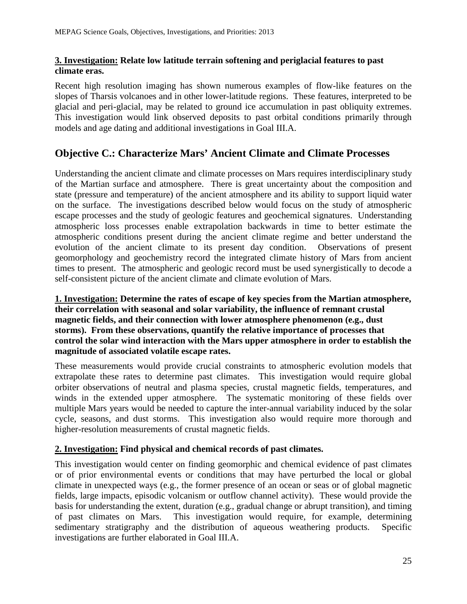### **3. Investigation: Relate low latitude terrain softening and periglacial features to past climate eras.**

Recent high resolution imaging has shown numerous examples of flow-like features on the slopes of Tharsis volcanoes and in other lower-latitude regions. These features, interpreted to be glacial and peri-glacial, may be related to ground ice accumulation in past obliquity extremes. This investigation would link observed deposits to past orbital conditions primarily through models and age dating and additional investigations in Goal III.A.

### **Objective C.: Characterize Mars' Ancient Climate and Climate Processes**

Understanding the ancient climate and climate processes on Mars requires interdisciplinary study of the Martian surface and atmosphere. There is great uncertainty about the composition and state (pressure and temperature) of the ancient atmosphere and its ability to support liquid water on the surface. The investigations described below would focus on the study of atmospheric escape processes and the study of geologic features and geochemical signatures. Understanding atmospheric loss processes enable extrapolation backwards in time to better estimate the atmospheric conditions present during the ancient climate regime and better understand the evolution of the ancient climate to its present day condition. Observations of present geomorphology and geochemistry record the integrated climate history of Mars from ancient times to present. The atmospheric and geologic record must be used synergistically to decode a self-consistent picture of the ancient climate and climate evolution of Mars.

### **1. Investigation: Determine the rates of escape of key species from the Martian atmosphere, their correlation with seasonal and solar variability, the influence of remnant crustal magnetic fields, and their connection with lower atmosphere phenomenon (e.g., dust storms). From these observations, quantify the relative importance of processes that control the solar wind interaction with the Mars upper atmosphere in order to establish the magnitude of associated volatile escape rates.**

These measurements would provide crucial constraints to atmospheric evolution models that extrapolate these rates to determine past climates. This investigation would require global orbiter observations of neutral and plasma species, crustal magnetic fields, temperatures, and winds in the extended upper atmosphere. The systematic monitoring of these fields over multiple Mars years would be needed to capture the inter-annual variability induced by the solar cycle, seasons, and dust storms. This investigation also would require more thorough and higher-resolution measurements of crustal magnetic fields.

### **2. Investigation: Find physical and chemical records of past climates.**

This investigation would center on finding geomorphic and chemical evidence of past climates or of prior environmental events or conditions that may have perturbed the local or global climate in unexpected ways (e.g., the former presence of an ocean or seas or of global magnetic fields, large impacts, episodic volcanism or outflow channel activity). These would provide the basis for understanding the extent, duration (e.g., gradual change or abrupt transition), and timing of past climates on Mars. This investigation would require, for example, determining sedimentary stratigraphy and the distribution of aqueous weathering products. Specific investigations are further elaborated in Goal III.A.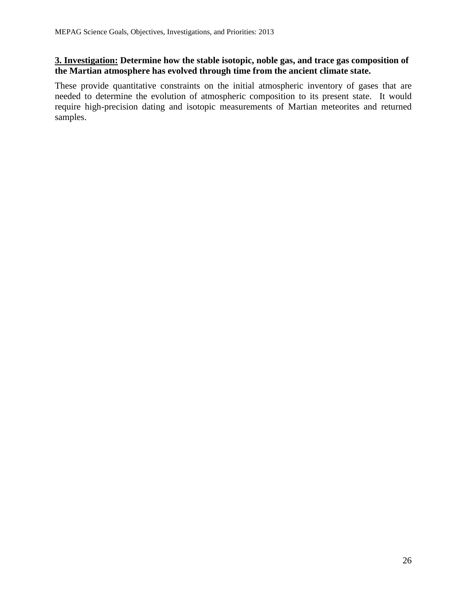### **3. Investigation: Determine how the stable isotopic, noble gas, and trace gas composition of the Martian atmosphere has evolved through time from the ancient climate state.**

These provide quantitative constraints on the initial atmospheric inventory of gases that are needed to determine the evolution of atmospheric composition to its present state. It would require high-precision dating and isotopic measurements of Martian meteorites and returned samples.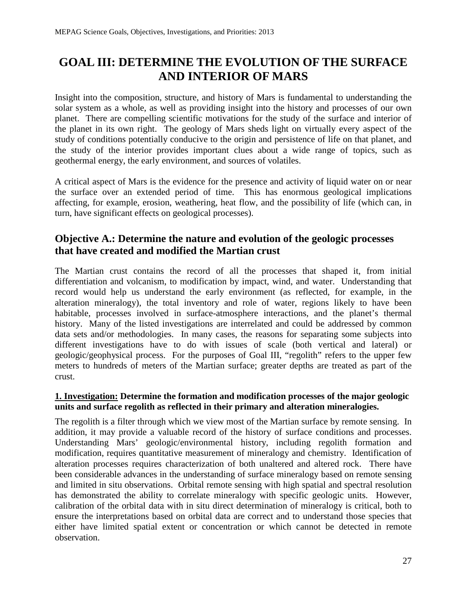# **GOAL III: DETERMINE THE EVOLUTION OF THE SURFACE AND INTERIOR OF MARS**

Insight into the composition, structure, and history of Mars is fundamental to understanding the solar system as a whole, as well as providing insight into the history and processes of our own planet. There are compelling scientific motivations for the study of the surface and interior of the planet in its own right. The geology of Mars sheds light on virtually every aspect of the study of conditions potentially conducive to the origin and persistence of life on that planet, and the study of the interior provides important clues about a wide range of topics, such as geothermal energy, the early environment, and sources of volatiles.

A critical aspect of Mars is the evidence for the presence and activity of liquid water on or near the surface over an extended period of time. This has enormous geological implications affecting, for example, erosion, weathering, heat flow, and the possibility of life (which can, in turn, have significant effects on geological processes).

### **Objective A.: Determine the nature and evolution of the geologic processes that have created and modified the Martian crust**

The Martian crust contains the record of all the processes that shaped it, from initial differentiation and volcanism, to modification by impact, wind, and water. Understanding that record would help us understand the early environment (as reflected, for example, in the alteration mineralogy), the total inventory and role of water, regions likely to have been habitable, processes involved in surface-atmosphere interactions, and the planet's thermal history. Many of the listed investigations are interrelated and could be addressed by common data sets and/or methodologies. In many cases, the reasons for separating some subjects into different investigations have to do with issues of scale (both vertical and lateral) or geologic/geophysical process. For the purposes of Goal III, "regolith" refers to the upper few meters to hundreds of meters of the Martian surface; greater depths are treated as part of the crust.

#### **1. Investigation: Determine the formation and modification processes of the major geologic units and surface regolith as reflected in their primary and alteration mineralogies.**

The regolith is a filter through which we view most of the Martian surface by remote sensing. In addition, it may provide a valuable record of the history of surface conditions and processes. Understanding Mars' geologic/environmental history, including regolith formation and modification, requires quantitative measurement of mineralogy and chemistry. Identification of alteration processes requires characterization of both unaltered and altered rock. There have been considerable advances in the understanding of surface mineralogy based on remote sensing and limited in situ observations. Orbital remote sensing with high spatial and spectral resolution has demonstrated the ability to correlate mineralogy with specific geologic units. However, calibration of the orbital data with in situ direct determination of mineralogy is critical, both to ensure the interpretations based on orbital data are correct and to understand those species that either have limited spatial extent or concentration or which cannot be detected in remote observation.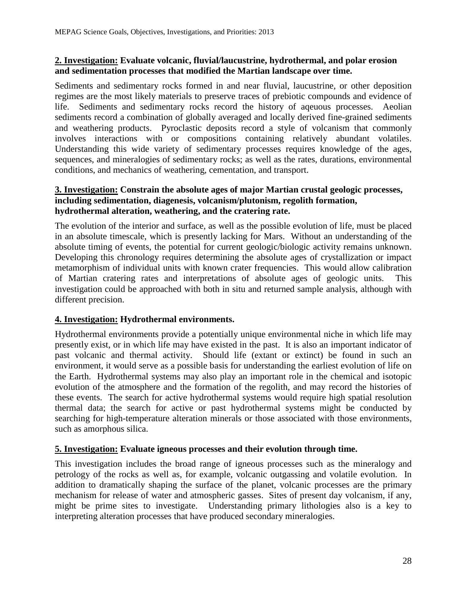### **2. Investigation: Evaluate volcanic, fluvial/laucustrine, hydrothermal, and polar erosion and sedimentation processes that modified the Martian landscape over time.**

Sediments and sedimentary rocks formed in and near fluvial, laucustrine, or other deposition regimes are the most likely materials to preserve traces of prebiotic compounds and evidence of life. Sediments and sedimentary rocks record the history of aqeuous processes. Aeolian sediments record a combination of globally averaged and locally derived fine-grained sediments and weathering products. Pyroclastic deposits record a style of volcanism that commonly involves interactions with or compositions containing relatively abundant volatiles. Understanding this wide variety of sedimentary processes requires knowledge of the ages, sequences, and mineralogies of sedimentary rocks; as well as the rates, durations, environmental conditions, and mechanics of weathering, cementation, and transport.

### **3. Investigation: Constrain the absolute ages of major Martian crustal geologic processes, including sedimentation, diagenesis, volcanism/plutonism, regolith formation, hydrothermal alteration, weathering, and the cratering rate.**

The evolution of the interior and surface, as well as the possible evolution of life, must be placed in an absolute timescale, which is presently lacking for Mars. Without an understanding of the absolute timing of events, the potential for current geologic/biologic activity remains unknown. Developing this chronology requires determining the absolute ages of crystallization or impact metamorphism of individual units with known crater frequencies. This would allow calibration of Martian cratering rates and interpretations of absolute ages of geologic units. This investigation could be approached with both in situ and returned sample analysis, although with different precision.

### **4. Investigation: Hydrothermal environments.**

Hydrothermal environments provide a potentially unique environmental niche in which life may presently exist, or in which life may have existed in the past. It is also an important indicator of past volcanic and thermal activity. Should life (extant or extinct) be found in such an environment, it would serve as a possible basis for understanding the earliest evolution of life on the Earth. Hydrothermal systems may also play an important role in the chemical and isotopic evolution of the atmosphere and the formation of the regolith, and may record the histories of these events. The search for active hydrothermal systems would require high spatial resolution thermal data; the search for active or past hydrothermal systems might be conducted by searching for high-temperature alteration minerals or those associated with those environments, such as amorphous silica.

### **5. Investigation: Evaluate igneous processes and their evolution through time.**

This investigation includes the broad range of igneous processes such as the mineralogy and petrology of the rocks as well as, for example, volcanic outgassing and volatile evolution. In addition to dramatically shaping the surface of the planet, volcanic processes are the primary mechanism for release of water and atmospheric gasses. Sites of present day volcanism, if any, might be prime sites to investigate. Understanding primary lithologies also is a key to interpreting alteration processes that have produced secondary mineralogies.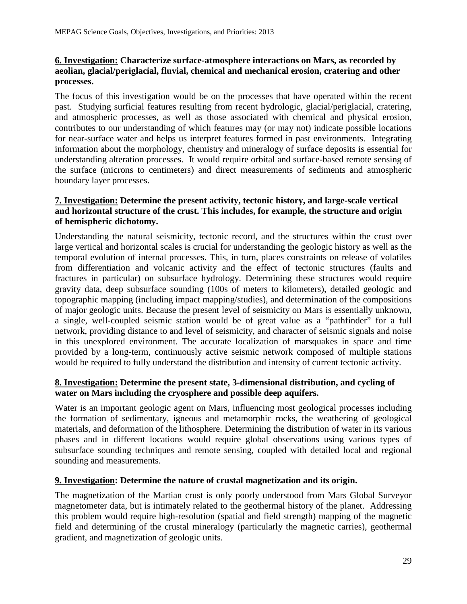### **6. Investigation: Characterize surface-atmosphere interactions on Mars, as recorded by aeolian, glacial/periglacial, fluvial, chemical and mechanical erosion, cratering and other processes.**

The focus of this investigation would be on the processes that have operated within the recent past. Studying surficial features resulting from recent hydrologic, glacial/periglacial, cratering, and atmospheric processes, as well as those associated with chemical and physical erosion, contributes to our understanding of which features may (or may not) indicate possible locations for near-surface water and helps us interpret features formed in past environments. Integrating information about the morphology, chemistry and mineralogy of surface deposits is essential for understanding alteration processes. It would require orbital and surface-based remote sensing of the surface (microns to centimeters) and direct measurements of sediments and atmospheric boundary layer processes.

### **7. Investigation: Determine the present activity, tectonic history, and large-scale vertical and horizontal structure of the crust. This includes, for example, the structure and origin of hemispheric dichotomy.**

Understanding the natural seismicity, tectonic record, and the structures within the crust over large vertical and horizontal scales is crucial for understanding the geologic history as well as the temporal evolution of internal processes. This, in turn, places constraints on release of volatiles from differentiation and volcanic activity and the effect of tectonic structures (faults and fractures in particular) on subsurface hydrology. Determining these structures would require gravity data, deep subsurface sounding (100s of meters to kilometers), detailed geologic and topographic mapping (including impact mapping/studies), and determination of the compositions of major geologic units. Because the present level of seismicity on Mars is essentially unknown, a single, well-coupled seismic station would be of great value as a "pathfinder" for a full network, providing distance to and level of seismicity, and character of seismic signals and noise in this unexplored environment. The accurate localization of marsquakes in space and time provided by a long-term, continuously active seismic network composed of multiple stations would be required to fully understand the distribution and intensity of current tectonic activity.

### **8. Investigation: Determine the present state, 3-dimensional distribution, and cycling of water on Mars including the cryosphere and possible deep aquifers.**

Water is an important geologic agent on Mars, influencing most geological processes including the formation of sedimentary, igneous and metamorphic rocks, the weathering of geological materials, and deformation of the lithosphere. Determining the distribution of water in its various phases and in different locations would require global observations using various types of subsurface sounding techniques and remote sensing, coupled with detailed local and regional sounding and measurements.

### **9. Investigation: Determine the nature of crustal magnetization and its origin.**

The magnetization of the Martian crust is only poorly understood from Mars Global Surveyor magnetometer data, but is intimately related to the geothermal history of the planet. Addressing this problem would require high-resolution (spatial and field strength) mapping of the magnetic field and determining of the crustal mineralogy (particularly the magnetic carries), geothermal gradient, and magnetization of geologic units.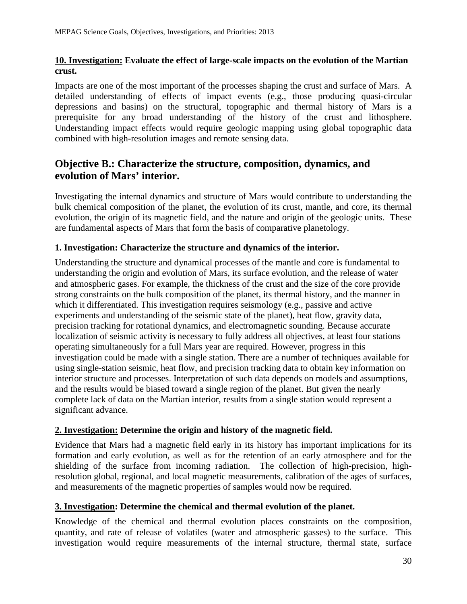### **10. Investigation: Evaluate the effect of large-scale impacts on the evolution of the Martian crust.**

Impacts are one of the most important of the processes shaping the crust and surface of Mars. A detailed understanding of effects of impact events (e.g., those producing quasi-circular depressions and basins) on the structural, topographic and thermal history of Mars is a prerequisite for any broad understanding of the history of the crust and lithosphere. Understanding impact effects would require geologic mapping using global topographic data combined with high-resolution images and remote sensing data.

### **Objective B.: Characterize the structure, composition, dynamics, and evolution of Mars' interior.**

Investigating the internal dynamics and structure of Mars would contribute to understanding the bulk chemical composition of the planet, the evolution of its crust, mantle, and core, its thermal evolution, the origin of its magnetic field, and the nature and origin of the geologic units. These are fundamental aspects of Mars that form the basis of comparative planetology.

### **1. Investigation: Characterize the structure and dynamics of the interior.**

Understanding the structure and dynamical processes of the mantle and core is fundamental to understanding the origin and evolution of Mars, its surface evolution, and the release of water and atmospheric gases. For example, the thickness of the crust and the size of the core provide strong constraints on the bulk composition of the planet, its thermal history, and the manner in which it differentiated. This investigation requires seismology (e.g., passive and active experiments and understanding of the seismic state of the planet), heat flow, gravity data, precision tracking for rotational dynamics, and electromagnetic sounding. Because accurate localization of seismic activity is necessary to fully address all objectives, at least four stations operating simultaneously for a full Mars year are required. However, progress in this investigation could be made with a single station. There are a number of techniques available for using single-station seismic, heat flow, and precision tracking data to obtain key information on interior structure and processes. Interpretation of such data depends on models and assumptions, and the results would be biased toward a single region of the planet. But given the nearly complete lack of data on the Martian interior, results from a single station would represent a significant advance.

### **2. Investigation: Determine the origin and history of the magnetic field.**

Evidence that Mars had a magnetic field early in its history has important implications for its formation and early evolution, as well as for the retention of an early atmosphere and for the shielding of the surface from incoming radiation. The collection of high-precision, highresolution global, regional, and local magnetic measurements, calibration of the ages of surfaces, and measurements of the magnetic properties of samples would now be required.

### **3. Investigation: Determine the chemical and thermal evolution of the planet.**

Knowledge of the chemical and thermal evolution places constraints on the composition, quantity, and rate of release of volatiles (water and atmospheric gasses) to the surface. This investigation would require measurements of the internal structure, thermal state, surface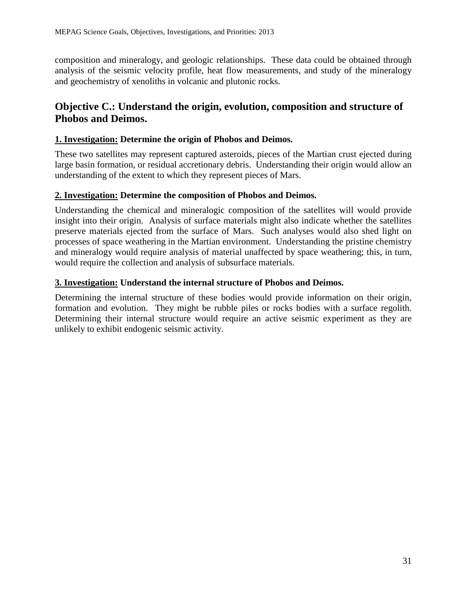composition and mineralogy, and geologic relationships. These data could be obtained through analysis of the seismic velocity profile, heat flow measurements, and study of the mineralogy and geochemistry of xenoliths in volcanic and plutonic rocks.

### **Objective C.: Understand the origin, evolution, composition and structure of Phobos and Deimos.**

### **1. Investigation: Determine the origin of Phobos and Deimos.**

These two satellites may represent captured asteroids, pieces of the Martian crust ejected during large basin formation, or residual accretionary debris. Understanding their origin would allow an understanding of the extent to which they represent pieces of Mars.

#### **2. Investigation: Determine the composition of Phobos and Deimos.**

Understanding the chemical and mineralogic composition of the satellites will would provide insight into their origin. Analysis of surface materials might also indicate whether the satellites preserve materials ejected from the surface of Mars. Such analyses would also shed light on processes of space weathering in the Martian environment. Understanding the pristine chemistry and mineralogy would require analysis of material unaffected by space weathering; this, in turn, would require the collection and analysis of subsurface materials.

#### **3. Investigation: Understand the internal structure of Phobos and Deimos.**

Determining the internal structure of these bodies would provide information on their origin, formation and evolution. They might be rubble piles or rocks bodies with a surface regolith. Determining their internal structure would require an active seismic experiment as they are unlikely to exhibit endogenic seismic activity.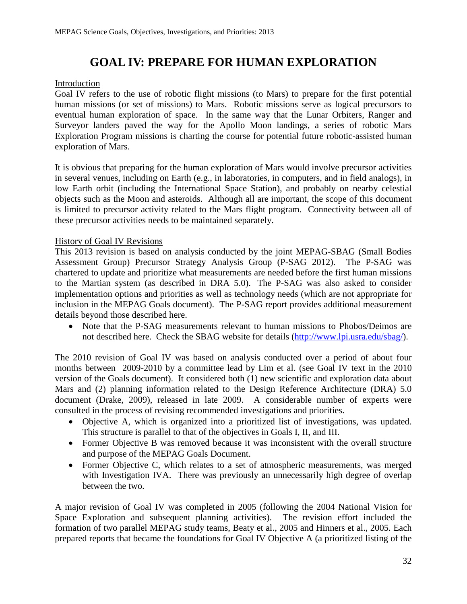# **GOAL IV: PREPARE FOR HUMAN EXPLORATION**

#### Introduction

Goal IV refers to the use of robotic flight missions (to Mars) to prepare for the first potential human missions (or set of missions) to Mars. Robotic missions serve as logical precursors to eventual human exploration of space. In the same way that the Lunar Orbiters, Ranger and Surveyor landers paved the way for the Apollo Moon landings, a series of robotic Mars Exploration Program missions is charting the course for potential future robotic-assisted human exploration of Mars.

It is obvious that preparing for the human exploration of Mars would involve precursor activities in several venues, including on Earth (e.g., in laboratories, in computers, and in field analogs), in low Earth orbit (including the International Space Station), and probably on nearby celestial objects such as the Moon and asteroids. Although all are important, the scope of this document is limited to precursor activity related to the Mars flight program. Connectivity between all of these precursor activities needs to be maintained separately.

#### History of Goal IV Revisions

This 2013 revision is based on analysis conducted by the joint MEPAG-SBAG (Small Bodies Assessment Group) Precursor Strategy Analysis Group (P-SAG 2012). The P-SAG was chartered to update and prioritize what measurements are needed before the first human missions to the Martian system (as described in DRA 5.0). The P-SAG was also asked to consider implementation options and priorities as well as technology needs (which are not appropriate for inclusion in the MEPAG Goals document). The P-SAG report provides additional measurement details beyond those described here.

• Note that the P-SAG measurements relevant to human missions to Phobos/Deimos are not described here. Check the SBAG website for details [\(http://www.lpi.usra.edu/sbag/\)](http://www.lpi.usra.edu/sbag/).

The 2010 revision of Goal IV was based on analysis conducted over a period of about four months between 2009-2010 by a committee lead by Lim et al. (see Goal IV text in the 2010 version of the Goals document). It considered both (1) new scientific and exploration data about Mars and (2) planning information related to the Design Reference Architecture (DRA) 5.0 document (Drake, 2009), released in late 2009. A considerable number of experts were consulted in the process of revising recommended investigations and priorities.

- Objective A, which is organized into a prioritized list of investigations, was updated. This structure is parallel to that of the objectives in Goals I, II, and III.
- Former Objective B was removed because it was inconsistent with the overall structure and purpose of the MEPAG Goals Document.
- Former Objective C, which relates to a set of atmospheric measurements, was merged with Investigation IVA. There was previously an unnecessarily high degree of overlap between the two.

A major revision of Goal IV was completed in 2005 (following the 2004 National Vision for Space Exploration and subsequent planning activities). The revision effort included the formation of two parallel MEPAG study teams, Beaty et al., 2005 and Hinners et al., 2005. Each prepared reports that became the foundations for Goal IV Objective A (a prioritized listing of the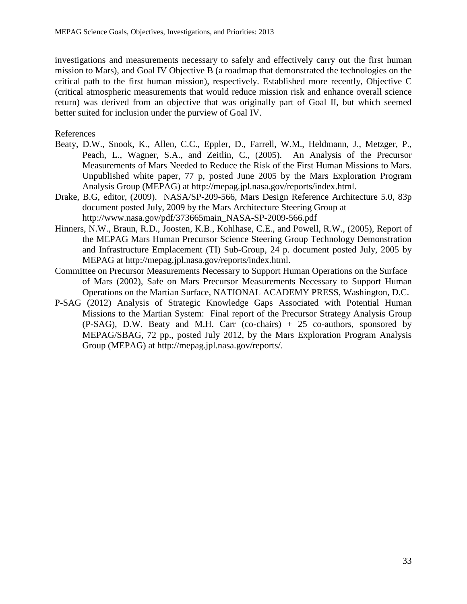investigations and measurements necessary to safely and effectively carry out the first human mission to Mars), and Goal IV Objective B (a roadmap that demonstrated the technologies on the critical path to the first human mission), respectively. Established more recently, Objective C (critical atmospheric measurements that would reduce mission risk and enhance overall science return) was derived from an objective that was originally part of Goal II, but which seemed better suited for inclusion under the purview of Goal IV.

References

- Beaty, D.W., Snook, K., Allen, C.C., Eppler, D., Farrell, W.M., Heldmann, J., Metzger, P., Peach, L., Wagner, S.A., and Zeitlin, C., (2005). An Analysis of the Precursor Measurements of Mars Needed to Reduce the Risk of the First Human Missions to Mars. Unpublished white paper, 77 p, posted June 2005 by the Mars Exploration Program Analysis Group (MEPAG) at http://mepag.jpl.nasa.gov/reports/index.html.
- Drake, B.G, editor, (2009). NASA/SP-209-566, Mars Design Reference Architecture 5.0, 83p document posted July, 2009 by the Mars Architecture Steering Group at http://www.nasa.gov/pdf/373665main\_NASA-SP-2009-566.pdf
- Hinners, N.W., Braun, R.D., Joosten, K.B., Kohlhase, C.E., and Powell, R.W., (2005), Report of the MEPAG Mars Human Precursor Science Steering Group Technology Demonstration and Infrastructure Emplacement (TI) Sub-Group, 24 p. document posted July, 2005 by MEPAG at [http://mepag.jpl.nasa.gov/reports/index.html.](http://mepag.jpl.nasa.gov/reports/index.html)
- Committee on Precursor Measurements Necessary to Support Human Operations on the Surface of Mars (2002), Safe on Mars Precursor Measurements Necessary to Support Human Operations on the Martian Surface, NATIONAL ACADEMY PRESS, Washington, D.C.
- P-SAG (2012) Analysis of Strategic Knowledge Gaps Associated with Potential Human Missions to the Martian System: Final report of the Precursor Strategy Analysis Group  $(P-SAG)$ , D.W. Beaty and M.H. Carr (co-chairs)  $+25$  co-authors, sponsored by MEPAG/SBAG, 72 pp., posted July 2012, by the Mars Exploration Program Analysis Group (MEPAG) at http://mepag.jpl.nasa.gov/reports/.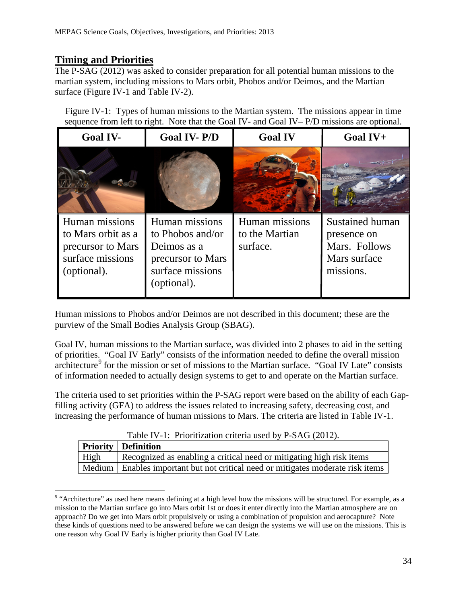### **Timing and Priorities**

 $\overline{a}$ 

The P-SAG (2012) was asked to consider preparation for all potential human missions to the martian system, including missions to Mars orbit, Phobos and/or Deimos, and the Martian surface (Figure IV-1 and Table IV-2).

Figure IV-1: Types of human missions to the Martian system. The missions appear in time sequence from left to right. Note that the Goal IV- and Goal IV– P/D missions are optional.

| <b>Goal IV-</b>                                                                              | <b>Goal IV-P/D</b>                                                                                        | <b>Goal IV</b>                               | Goal $IV+$                                                                   |
|----------------------------------------------------------------------------------------------|-----------------------------------------------------------------------------------------------------------|----------------------------------------------|------------------------------------------------------------------------------|
|                                                                                              |                                                                                                           |                                              |                                                                              |
| Human missions<br>to Mars orbit as a<br>precursor to Mars<br>surface missions<br>(optional). | Human missions<br>to Phobos and/or<br>Deimos as a<br>precursor to Mars<br>surface missions<br>(optional). | Human missions<br>to the Martian<br>surface. | Sustained human<br>presence on<br>Mars. Follows<br>Mars surface<br>missions. |

Human missions to Phobos and/or Deimos are not described in this document; these are the purview of the Small Bodies Analysis Group (SBAG).

Goal IV, human missions to the Martian surface, was divided into 2 phases to aid in the setting of priorities. "Goal IV Early" consists of the information needed to define the overall mission architecture<sup>[9](#page-33-0)</sup> for the mission or set of missions to the Martian surface. "Goal IV Late" consists of information needed to actually design systems to get to and operate on the Martian surface.

The criteria used to set priorities within the P-SAG report were based on the ability of each Gapfilling activity (GFA) to address the issues related to increasing safety, decreasing cost, and increasing the performance of human missions to Mars. The criteria are listed in Table IV-1.

|      | Table TV-1. PHOHIZATION CHIENA used by P-SAG (2012).                              |
|------|-----------------------------------------------------------------------------------|
|      | <b>Priority Definition</b>                                                        |
| High | Recognized as enabling a critical need or mitigating high risk items              |
|      | Medium   Enables important but not critical need or mitigates moderate risk items |

Table IV-1: Prioritization criteria used by P-SAG (2012).

<span id="page-33-0"></span><sup>&</sup>lt;sup>9</sup> "Architecture" as used here means defining at a high level how the missions will be structured. For example, as a mission to the Martian surface go into Mars orbit 1st or does it enter directly into the Martian atmosphere are on approach? Do we get into Mars orbit propulsively or using a combination of propulsion and aerocapture? Note these kinds of questions need to be answered before we can design the systems we will use on the missions. This is one reason why Goal IV Early is higher priority than Goal IV Late.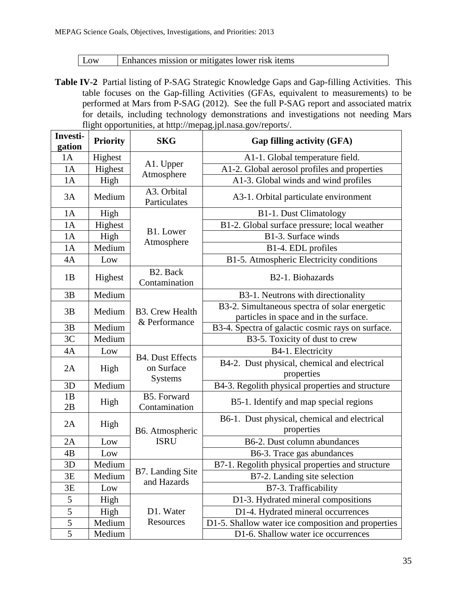### Low | Enhances mission or mitigates lower risk items

**Table IV-2** Partial listing of P-SAG Strategic Knowledge Gaps and Gap-filling Activities. This table focuses on the Gap-filling Activities (GFAs, equivalent to measurements) to be performed at Mars from P-SAG (2012). See the full P-SAG report and associated matrix for details, including technology demonstrations and investigations not needing Mars flight opportunities, at http://mepag.jpl.nasa.gov/reports/.

| <b>Investi-</b><br>gation | <b>Priority</b> | <b>SKG</b>                                              | Gap filling activity (GFA)                                                              |
|---------------------------|-----------------|---------------------------------------------------------|-----------------------------------------------------------------------------------------|
| 1A                        | Highest         |                                                         | A1-1. Global temperature field.                                                         |
| 1A                        | Highest         | A1. Upper<br>Atmosphere                                 | A1-2. Global aerosol profiles and properties                                            |
| 1A                        | High            |                                                         | A1-3. Global winds and wind profiles                                                    |
| 3A                        | Medium          | A3. Orbital<br>Particulates                             | A3-1. Orbital particulate environment                                                   |
| 1A                        | High            |                                                         | B1-1. Dust Climatology                                                                  |
| 1A                        | Highest         |                                                         | B1-2. Global surface pressure; local weather                                            |
| 1A                        | High            | B1. Lower<br>Atmosphere                                 | B1-3. Surface winds                                                                     |
| 1A                        | Medium          |                                                         | B1-4. EDL profiles                                                                      |
| 4A                        | Low             |                                                         | B1-5. Atmospheric Electricity conditions                                                |
| 1B                        | Highest         | B2. Back<br>Contamination                               | B2-1. Biohazards                                                                        |
| 3B                        | Medium          |                                                         | B3-1. Neutrons with directionality                                                      |
| 3B                        | Medium          | <b>B3.</b> Crew Health                                  | B3-2. Simultaneous spectra of solar energetic<br>particles in space and in the surface. |
| 3B                        | Medium          | & Performance                                           | B3-4. Spectra of galactic cosmic rays on surface.                                       |
| 3C                        | Medium          |                                                         | B3-5. Toxicity of dust to crew                                                          |
| 4A                        | Low             |                                                         | B4-1. Electricity                                                                       |
| 2A                        | High            | <b>B4. Dust Effects</b><br>on Surface<br><b>Systems</b> | B4-2. Dust physical, chemical and electrical<br>properties                              |
| 3D                        | Medium          |                                                         | B4-3. Regolith physical properties and structure                                        |
| 1B<br>2B                  | High            | B5. Forward<br>Contamination                            | B5-1. Identify and map special regions                                                  |
| 2A                        | High            | B6. Atmospheric                                         | B6-1. Dust physical, chemical and electrical<br>properties                              |
| 2A                        | Low             | <b>ISRU</b>                                             | B6-2. Dust column abundances                                                            |
| 4B                        | Low             |                                                         | B6-3. Trace gas abundances                                                              |
| 3D                        | Medium          |                                                         | B7-1. Regolith physical properties and structure                                        |
| 3Е                        | Medium          | B7. Landing Site                                        | B7-2. Landing site selection                                                            |
| 3E                        | Low             | and Hazards                                             | B7-3. Trafficability                                                                    |
| 5                         | High            |                                                         | D1-3. Hydrated mineral compositions                                                     |
| 5                         | High            | D1. Water                                               | D1-4. Hydrated mineral occurrences                                                      |
| 5                         | Medium          | Resources                                               | D1-5. Shallow water ice composition and properties                                      |
| 5                         | Medium          |                                                         | D1-6. Shallow water ice occurrences                                                     |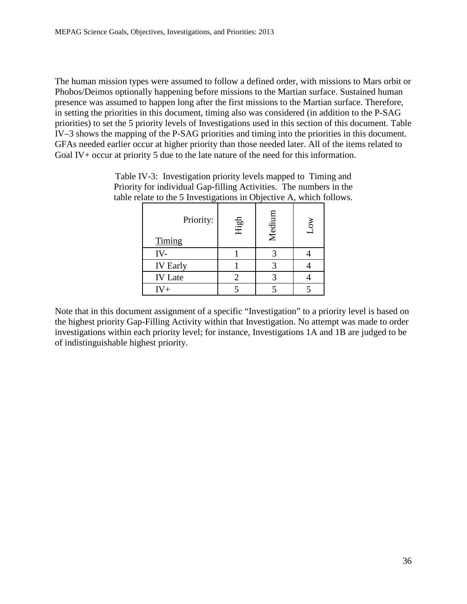The human mission types were assumed to follow a defined order, with missions to Mars orbit or Phobos/Deimos optionally happening before missions to the Martian surface. Sustained human presence was assumed to happen long after the first missions to the Martian surface. Therefore, in setting the priorities in this document, timing also was considered (in addition to the P-SAG priorities) to set the 5 priority levels of Investigations used in this section of this document. Table IV–3 shows the mapping of the P-SAG priorities and timing into the priorities in this document. GFAs needed earlier occur at higher priority than those needed later. All of the items related to Goal IV+ occur at priority 5 due to the late nature of the need for this information.

| Priority:<br>Timing | High | Mediun | $_{\rm Low}$ |
|---------------------|------|--------|--------------|
| IV-                 |      |        |              |
| <b>IV Early</b>     |      |        |              |
| <b>IV</b> Late      |      |        |              |
| $IV+$               |      |        |              |

Table IV-3: Investigation priority levels mapped to Timing and Priority for individual Gap-filling Activities. The numbers in the table relate to the 5 Investigations in Objective A, which follows.

Note that in this document assignment of a specific "Investigation" to a priority level is based on the highest priority Gap-Filling Activity within that Investigation. No attempt was made to order investigations within each priority level; for instance, Investigations 1A and 1B are judged to be of indistinguishable highest priority.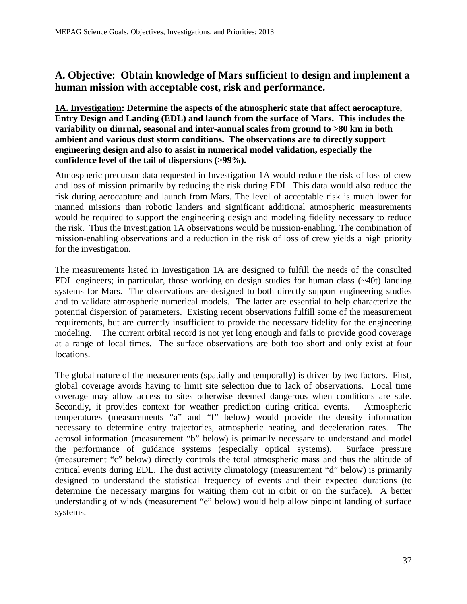### **A. Objective: Obtain knowledge of Mars sufficient to design and implement a human mission with acceptable cost, risk and performance.**

**1A. Investigation: Determine the aspects of the atmospheric state that affect aerocapture, Entry Design and Landing (EDL) and launch from the surface of Mars. This includes the variability on diurnal, seasonal and inter-annual scales from ground to >80 km in both ambient and various dust storm conditions. The observations are to directly support engineering design and also to assist in numerical model validation, especially the confidence level of the tail of dispersions (>99%).**

Atmospheric precursor data requested in Investigation 1A would reduce the risk of loss of crew and loss of mission primarily by reducing the risk during EDL. This data would also reduce the risk during aerocapture and launch from Mars. The level of acceptable risk is much lower for manned missions than robotic landers and significant additional atmospheric measurements would be required to support the engineering design and modeling fidelity necessary to reduce the risk. Thus the Investigation 1A observations would be mission-enabling. The combination of mission-enabling observations and a reduction in the risk of loss of crew yields a high priority for the investigation.

The measurements listed in Investigation 1A are designed to fulfill the needs of the consulted EDL engineers; in particular, those working on design studies for human class (~40t) landing systems for Mars. The observations are designed to both directly support engineering studies and to validate atmospheric numerical models. The latter are essential to help characterize the potential dispersion of parameters. Existing recent observations fulfill some of the measurement requirements, but are currently insufficient to provide the necessary fidelity for the engineering modeling. The current orbital record is not yet long enough and fails to provide good coverage at a range of local times. The surface observations are both too short and only exist at four locations.

The global nature of the measurements (spatially and temporally) is driven by two factors. First, global coverage avoids having to limit site selection due to lack of observations. Local time coverage may allow access to sites otherwise deemed dangerous when conditions are safe. Secondly, it provides context for weather prediction during critical events. Atmospheric temperatures (measurements "a" and "f" below) would provide the density information necessary to determine entry trajectories, atmospheric heating, and deceleration rates. The aerosol information (measurement "b" below) is primarily necessary to understand and model the performance of guidance systems (especially optical systems). Surface pressure (measurement "c" below) directly controls the total atmospheric mass and thus the altitude of critical events during EDL. The dust activity climatology (measurement "d" below) is primarily designed to understand the statistical frequency of events and their expected durations (to determine the necessary margins for waiting them out in orbit or on the surface). A better understanding of winds (measurement "e" below) would help allow pinpoint landing of surface systems.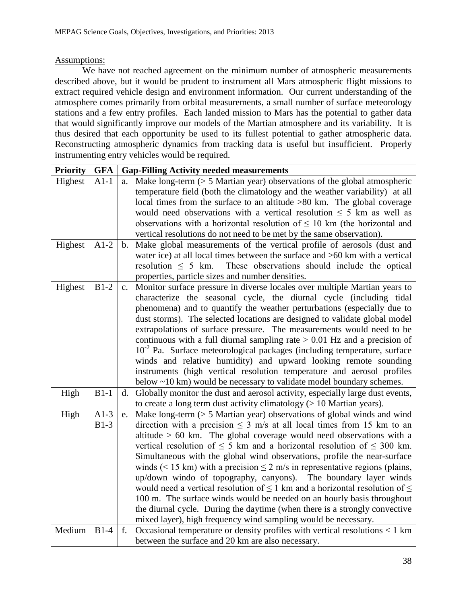### Assumptions:

We have not reached agreement on the minimum number of atmospheric measurements described above, but it would be prudent to instrument all Mars atmospheric flight missions to extract required vehicle design and environment information. Our current understanding of the atmosphere comes primarily from orbital measurements, a small number of surface meteorology stations and a few entry profiles. Each landed mission to Mars has the potential to gather data that would significantly improve our models of the Martian atmosphere and its variability. It is thus desired that each opportunity be used to its fullest potential to gather atmospheric data. Reconstructing atmospheric dynamics from tracking data is useful but insufficient. Properly instrumenting entry vehicles would be required.

| <b>Priority</b> | <b>GFA</b> | <b>Gap-Filling Activity needed measurements</b>                                              |
|-----------------|------------|----------------------------------------------------------------------------------------------|
| Highest         | $A1-1$     | Make long-term $($ > 5 Martian year) observations of the global atmospheric<br>a.            |
|                 |            | temperature field (both the climatology and the weather variability) at all                  |
|                 |            | local times from the surface to an altitude $>80$ km. The global coverage                    |
|                 |            | would need observations with a vertical resolution $\leq$ 5 km as well as                    |
|                 |            | observations with a horizontal resolution of $\leq 10$ km (the horizontal and                |
|                 |            | vertical resolutions do not need to be met by the same observation).                         |
| Highest         | $A1-2$     | b. Make global measurements of the vertical profile of aerosols (dust and                    |
|                 |            | water ice) at all local times between the surface and $>60$ km with a vertical               |
|                 |            | These observations should include the optical<br>resolution $\leq$ 5 km.                     |
|                 |            | properties, particle sizes and number densities.                                             |
| Highest         | $B1-2$     | Monitor surface pressure in diverse locales over multiple Martian years to<br>$\mathbf{c}$ . |
|                 |            | characterize the seasonal cycle, the diurnal cycle (including tidal                          |
|                 |            | phenomena) and to quantify the weather perturbations (especially due to                      |
|                 |            | dust storms). The selected locations are designed to validate global model                   |
|                 |            | extrapolations of surface pressure. The measurements would need to be                        |
|                 |            | continuous with a full diurnal sampling rate $> 0.01$ Hz and a precision of                  |
|                 |            | $10^{-2}$ Pa. Surface meteorological packages (including temperature, surface                |
|                 |            | winds and relative humidity) and upward looking remote sounding                              |
|                 |            | instruments (high vertical resolution temperature and aerosol profiles                       |
|                 |            | below ~10 km) would be necessary to validate model boundary schemes.                         |
| High            | $B1-1$     | Globally monitor the dust and aerosol activity, especially large dust events,<br>d.          |
|                 |            | to create a long term dust activity climatology $(> 10$ Martian years).                      |
| High            | $A1-3$     | Make long-term $($ > 5 Martian year) observations of global winds and wind<br>e.             |
|                 | $B1-3$     | direction with a precision $\leq$ 3 m/s at all local times from 15 km to an                  |
|                 |            | altitude $> 60$ km. The global coverage would need observations with a                       |
|                 |            | vertical resolution of $\leq$ 5 km and a horizontal resolution of $\leq$ 300 km.             |
|                 |            | Simultaneous with the global wind observations, profile the near-surface                     |
|                 |            | winds (< 15 km) with a precision $\leq$ 2 m/s in representative regions (plains,             |
|                 |            | up/down windo of topography, canyons). The boundary layer winds                              |
|                 |            | would need a vertical resolution of $\leq 1$ km and a horizontal resolution of $\leq$        |
|                 |            | 100 m. The surface winds would be needed on an hourly basis throughout                       |
|                 |            | the diurnal cycle. During the daytime (when there is a strongly convective                   |
|                 |            | mixed layer), high frequency wind sampling would be necessary.                               |
| Medium          | $B1-4$     | Occasional temperature or density profiles with vertical resolutions $< 1$ km<br>f.          |
|                 |            | between the surface and 20 km are also necessary.                                            |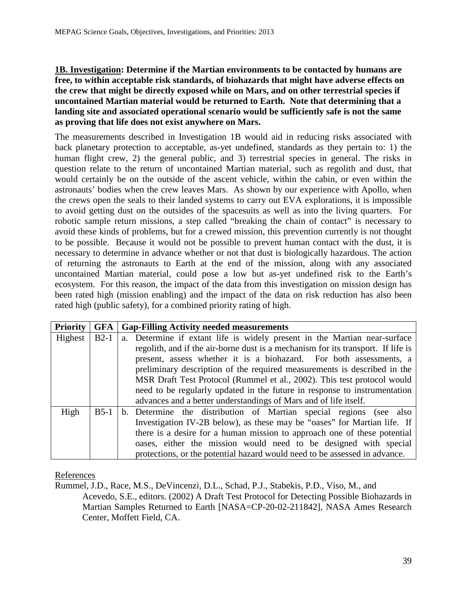### **1B. Investigation: Determine if the Martian environments to be contacted by humans are free, to within acceptable risk standards, of biohazards that might have adverse effects on the crew that might be directly exposed while on Mars, and on other terrestrial species if uncontained Martian material would be returned to Earth. Note that determining that a landing site and associated operational scenario would be sufficiently safe is not the same as proving that life does not exist anywhere on Mars.**

The measurements described in Investigation 1B would aid in reducing risks associated with back planetary protection to acceptable, as-yet undefined, standards as they pertain to: 1) the human flight crew, 2) the general public, and 3) terrestrial species in general. The risks in question relate to the return of uncontained Martian material, such as regolith and dust, that would certainly be on the outside of the ascent vehicle, within the cabin, or even within the astronauts' bodies when the crew leaves Mars. As shown by our experience with Apollo, when the crews open the seals to their landed systems to carry out EVA explorations, it is impossible to avoid getting dust on the outsides of the spacesuits as well as into the living quarters. For robotic sample return missions, a step called "breaking the chain of contact" is necessary to avoid these kinds of problems, but for a crewed mission, this prevention currently is not thought to be possible. Because it would not be possible to prevent human contact with the dust, it is necessary to determine in advance whether or not that dust is biologically hazardous. The action of returning the astronauts to Earth at the end of the mission, along with any associated uncontained Martian material, could pose a low but as-yet undefined risk to the Earth's ecosystem. For this reason, the impact of the data from this investigation on mission design has been rated high (mission enabling) and the impact of the data on risk reduction has also been rated high (public safety), for a combined priority rating of high.

| <b>Priority</b> | <b>GFA</b> | <b>Gap-Filling Activity needed measurements</b>                                  |
|-----------------|------------|----------------------------------------------------------------------------------|
| Highest         | $B2-1$     | a. Determine if extant life is widely present in the Martian near-surface        |
|                 |            | regolith, and if the air-borne dust is a mechanism for its transport. If life is |
|                 |            | present, assess whether it is a biohazard. For both assessments, a               |
|                 |            | preliminary description of the required measurements is described in the         |
|                 |            | MSR Draft Test Protocol (Rummel et al., 2002). This test protocol would          |
|                 |            | need to be regularly updated in the future in response to instrumentation        |
|                 |            | advances and a better understandings of Mars and of life itself.                 |
| High            | $B5-1$     | b. Determine the distribution of Martian special regions (see also               |
|                 |            | Investigation IV-2B below), as these may be "oases" for Martian life. If         |
|                 |            | there is a desire for a human mission to approach one of these potential         |
|                 |            | oases, either the mission would need to be designed with special                 |
|                 |            | protections, or the potential hazard would need to be assessed in advance.       |

### References

Rummel, J.D., Race, M.S., DeVincenzi, D.L., Schad, P.J., Stabekis, P.D., Viso, M., and

Acevedo, S.E., editors. (2002) A Draft Test Protocol for Detecting Possible Biohazards in Martian Samples Returned to Earth [NASA=CP-20-02-211842], NASA Ames Research Center, Moffett Field, CA.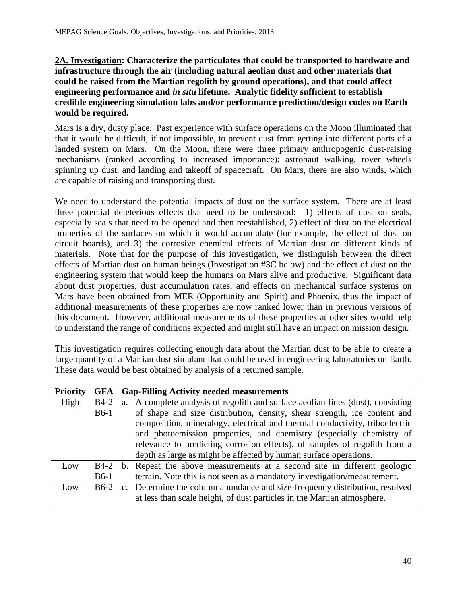**2A. Investigation: Characterize the particulates that could be transported to hardware and infrastructure through the air (including natural aeolian dust and other materials that could be raised from the Martian regolith by ground operations), and that could affect engineering performance and** *in situ* **lifetime. Analytic fidelity sufficient to establish credible engineering simulation labs and/or performance prediction/design codes on Earth would be required.**

Mars is a dry, dusty place. Past experience with surface operations on the Moon illuminated that that it would be difficult, if not impossible, to prevent dust from getting into different parts of a landed system on Mars. On the Moon, there were three primary anthropogenic dust-raising mechanisms (ranked according to increased importance): astronaut walking, rover wheels spinning up dust, and landing and takeoff of spacecraft. On Mars, there are also winds, which are capable of raising and transporting dust.

We need to understand the potential impacts of dust on the surface system. There are at least three potential deleterious effects that need to be understood: 1) effects of dust on seals, especially seals that need to be opened and then reestablished, 2) effect of dust on the electrical properties of the surfaces on which it would accumulate (for example, the effect of dust on circuit boards), and 3) the corrosive chemical effects of Martian dust on different kinds of materials. Note that for the purpose of this investigation, we distinguish between the direct effects of Martian dust on human beings (Investigation #3C below) and the effect of dust on the engineering system that would keep the humans on Mars alive and productive. Significant data about dust properties, dust accumulation rates, and effects on mechanical surface systems on Mars have been obtained from MER (Opportunity and Spirit) and Phoenix, thus the impact of additional measurements of these properties are now ranked lower than in previous versions of this document. However, additional measurements of these properties at other sites would help to understand the range of conditions expected and might still have an impact on mission design.

This investigation requires collecting enough data about the Martian dust to be able to create a large quantity of a Martian dust simulant that could be used in engineering laboratories on Earth. These data would be best obtained by analysis of a returned sample.

| <b>Priority</b> | <b>GFA</b> | <b>Gap-Filling Activity needed measurements</b>                                 |
|-----------------|------------|---------------------------------------------------------------------------------|
| High            | $B4-2$     | a. A complete analysis of regolith and surface aeolian fines (dust), consisting |
|                 | $B6-1$     | of shape and size distribution, density, shear strength, ice content and        |
|                 |            | composition, mineralogy, electrical and thermal conductivity, triboelectric     |
|                 |            | and photoemission properties, and chemistry (especially chemistry of            |
|                 |            | relevance to predicting corrosion effects), of samples of regolith from a       |
|                 |            | depth as large as might be affected by human surface operations.                |
| Low             | $B4-2$     | b. Repeat the above measurements at a second site in different geologic         |
|                 | $B6-1$     | terrain. Note this is not seen as a mandatory investigation/measurement.        |
| Low             | $B6-2$     | c. Determine the column abundance and size-frequency distribution, resolved     |
|                 |            | at less than scale height, of dust particles in the Martian atmosphere.         |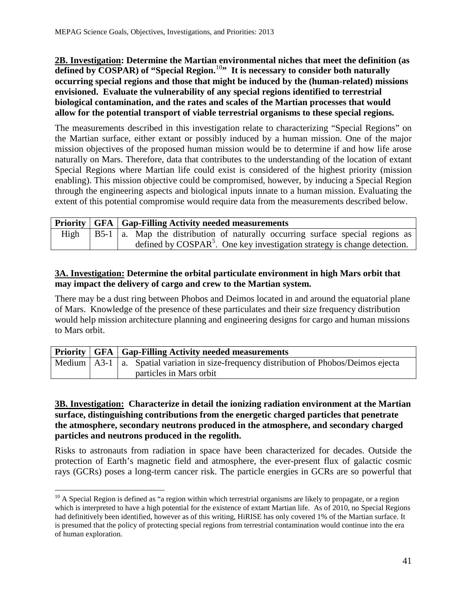**2B. Investigation: Determine the Martian environmental niches that meet the definition (as**  defined by COSPAR) of "Special Region.<sup>[10](#page-40-0)</sup>" It is necessary to consider both naturally **occurring special regions and those that might be induced by the (human-related) missions envisioned. Evaluate the vulnerability of any special regions identified to terrestrial biological contamination, and the rates and scales of the Martian processes that would allow for the potential transport of viable terrestrial organisms to these special regions.** 

The measurements described in this investigation relate to characterizing "Special Regions" on the Martian surface, either extant or possibly induced by a human mission. One of the major mission objectives of the proposed human mission would be to determine if and how life arose naturally on Mars. Therefore, data that contributes to the understanding of the location of extant Special Regions where Martian life could exist is considered of the highest priority (mission enabling). This mission objective could be compromised, however, by inducing a Special Region through the engineering aspects and biological inputs innate to a human mission. Evaluating the extent of this potential compromise would require data from the measurements described below.

|  | <b>Priority   GFA   Gap-Filling Activity needed measurements</b>                        |
|--|-----------------------------------------------------------------------------------------|
|  | High $ B5-1 $ a. Map the distribution of naturally occurring surface special regions as |
|  | defined by COSPAR <sup>5</sup> . One key investigation strategy is change detection.    |

### **3A. Investigation: Determine the orbital particulate environment in high Mars orbit that may impact the delivery of cargo and crew to the Martian system.**

There may be a dust ring between Phobos and Deimos located in and around the equatorial plane of Mars. Knowledge of the presence of these particulates and their size frequency distribution would help mission architecture planning and engineering designs for cargo and human missions to Mars orbit.

|  | <b>Priority   GFA   Gap-Filling Activity needed measurements</b>                                        |
|--|---------------------------------------------------------------------------------------------------------|
|  | Medium $\vert$ A3-1 $\vert$ a. Spatial variation in size-frequency distribution of Phobos/Deimos ejecta |
|  | particles in Mars orbit                                                                                 |

### **3B. Investigation: Characterize in detail the ionizing radiation environment at the Martian surface, distinguishing contributions from the energetic charged particles that penetrate the atmosphere, secondary neutrons produced in the atmosphere, and secondary charged particles and neutrons produced in the regolith.**

Risks to astronauts from radiation in space have been characterized for decades. Outside the protection of Earth's magnetic field and atmosphere, the ever-present flux of galactic cosmic rays (GCRs) poses a long-term cancer risk. The particle energies in GCRs are so powerful that

<span id="page-40-0"></span> $10$  A Special Region is defined as "a region within which terrestrial organisms are likely to propagate, or a region which is interpreted to have a high potential for the existence of extant Martian life. As of 2010, no Special Regions had definitively been identified, however as of this writing, HiRISE has only covered 1% of the Martian surface. It is presumed that the policy of protecting special regions from terrestrial contamination would continue into the era of human exploration.  $\overline{a}$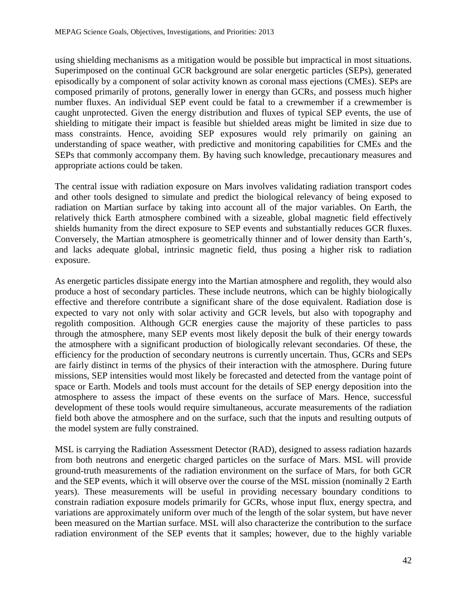using shielding mechanisms as a mitigation would be possible but impractical in most situations. Superimposed on the continual GCR background are solar energetic particles (SEPs), generated episodically by a component of solar activity known as coronal mass ejections (CMEs). SEPs are composed primarily of protons, generally lower in energy than GCRs, and possess much higher number fluxes. An individual SEP event could be fatal to a crewmember if a crewmember is caught unprotected. Given the energy distribution and fluxes of typical SEP events, the use of shielding to mitigate their impact is feasible but shielded areas might be limited in size due to mass constraints. Hence, avoiding SEP exposures would rely primarily on gaining an understanding of space weather, with predictive and monitoring capabilities for CMEs and the SEPs that commonly accompany them. By having such knowledge, precautionary measures and appropriate actions could be taken.

The central issue with radiation exposure on Mars involves validating radiation transport codes and other tools designed to simulate and predict the biological relevancy of being exposed to radiation on Martian surface by taking into account all of the major variables. On Earth, the relatively thick Earth atmosphere combined with a sizeable, global magnetic field effectively shields humanity from the direct exposure to SEP events and substantially reduces GCR fluxes. Conversely, the Martian atmosphere is geometrically thinner and of lower density than Earth's, and lacks adequate global, intrinsic magnetic field, thus posing a higher risk to radiation exposure.

As energetic particles dissipate energy into the Martian atmosphere and regolith, they would also produce a host of secondary particles. These include neutrons, which can be highly biologically effective and therefore contribute a significant share of the dose equivalent. Radiation dose is expected to vary not only with solar activity and GCR levels, but also with topography and regolith composition. Although GCR energies cause the majority of these particles to pass through the atmosphere, many SEP events most likely deposit the bulk of their energy towards the atmosphere with a significant production of biologically relevant secondaries. Of these, the efficiency for the production of secondary neutrons is currently uncertain. Thus, GCRs and SEPs are fairly distinct in terms of the physics of their interaction with the atmosphere. During future missions, SEP intensities would most likely be forecasted and detected from the vantage point of space or Earth. Models and tools must account for the details of SEP energy deposition into the atmosphere to assess the impact of these events on the surface of Mars. Hence, successful development of these tools would require simultaneous, accurate measurements of the radiation field both above the atmosphere and on the surface, such that the inputs and resulting outputs of the model system are fully constrained.

MSL is carrying the Radiation Assessment Detector (RAD), designed to assess radiation hazards from both neutrons and energetic charged particles on the surface of Mars. MSL will provide ground-truth measurements of the radiation environment on the surface of Mars, for both GCR and the SEP events, which it will observe over the course of the MSL mission (nominally 2 Earth years). These measurements will be useful in providing necessary boundary conditions to constrain radiation exposure models primarily for GCRs, whose input flux, energy spectra, and variations are approximately uniform over much of the length of the solar system, but have never been measured on the Martian surface. MSL will also characterize the contribution to the surface radiation environment of the SEP events that it samples; however, due to the highly variable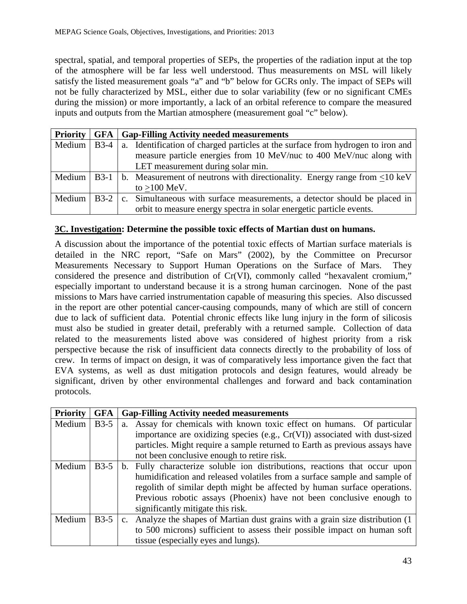spectral, spatial, and temporal properties of SEPs, the properties of the radiation input at the top of the atmosphere will be far less well understood. Thus measurements on MSL will likely satisfy the listed measurement goals "a" and "b" below for GCRs only. The impact of SEPs will not be fully characterized by MSL, either due to solar variability (few or no significant CMEs during the mission) or more importantly, a lack of an orbital reference to compare the measured inputs and outputs from the Martian atmosphere (measurement goal "c" below).

| <b>Priority</b> | <b>GFA</b>        | <b>Gap-Filling Activity needed measurements</b>                                 |
|-----------------|-------------------|---------------------------------------------------------------------------------|
| Medium          | $B3-4$            | a. Identification of charged particles at the surface from hydrogen to iron and |
|                 |                   | measure particle energies from 10 MeV/nuc to 400 MeV/nuc along with             |
|                 |                   | LET measurement during solar min.                                               |
| Medium          | $B3-1$            | b. Measurement of neutrons with directionality. Energy range from <10 keV       |
|                 |                   | to $>100$ MeV.                                                                  |
| Medium          | $\overline{B3-2}$ | c. Simultaneous with surface measurements, a detector should be placed in       |
|                 |                   | orbit to measure energy spectra in solar energetic particle events.             |

### **3C. Investigation: Determine the possible toxic effects of Martian dust on humans.**

A discussion about the importance of the potential toxic effects of Martian surface materials is detailed in the NRC report, "Safe on Mars" (2002), by the Committee on Precursor Measurements Necessary to Support Human Operations on the Surface of Mars. They considered the presence and distribution of Cr(VI), commonly called "hexavalent cromium," especially important to understand because it is a strong human carcinogen. None of the past missions to Mars have carried instrumentation capable of measuring this species. Also discussed in the report are other potential cancer-causing compounds, many of which are still of concern due to lack of sufficient data. Potential chronic effects like lung injury in the form of silicosis must also be studied in greater detail, preferably with a returned sample. Collection of data related to the measurements listed above was considered of highest priority from a risk perspective because the risk of insufficient data connects directly to the probability of loss of crew. In terms of impact on design, it was of comparatively less importance given the fact that EVA systems, as well as dust mitigation protocols and design features, would already be significant, driven by other environmental challenges and forward and back contamination protocols.

| <b>Priority</b> | <b>GFA</b> | <b>Gap-Filling Activity needed measurements</b>                                 |
|-----------------|------------|---------------------------------------------------------------------------------|
| Medium          | $B3-5$     | a. Assay for chemicals with known toxic effect on humans. Of particular         |
|                 |            | importance are oxidizing species (e.g., Cr(VI)) associated with dust-sized      |
|                 |            | particles. Might require a sample returned to Earth as previous assays have     |
|                 |            | not been conclusive enough to retire risk.                                      |
| Medium          | $B3-5$     | b. Fully characterize soluble ion distributions, reactions that occur upon      |
|                 |            | humidification and released volatiles from a surface sample and sample of       |
|                 |            | regolith of similar depth might be affected by human surface operations.        |
|                 |            | Previous robotic assays (Phoenix) have not been conclusive enough to            |
|                 |            | significantly mitigate this risk.                                               |
| Medium          | $B3-5$     | c. Analyze the shapes of Martian dust grains with a grain size distribution (1) |
|                 |            | to 500 microns) sufficient to assess their possible impact on human soft        |
|                 |            | tissue (especially eyes and lungs).                                             |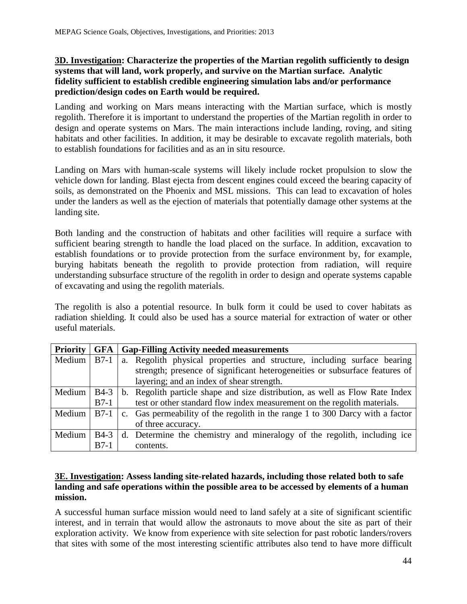### **3D. Investigation: Characterize the properties of the Martian regolith sufficiently to design systems that will land, work properly, and survive on the Martian surface. Analytic fidelity sufficient to establish credible engineering simulation labs and/or performance prediction/design codes on Earth would be required.**

Landing and working on Mars means interacting with the Martian surface, which is mostly regolith. Therefore it is important to understand the properties of the Martian regolith in order to design and operate systems on Mars. The main interactions include landing, roving, and siting habitats and other facilities. In addition, it may be desirable to excavate regolith materials, both to establish foundations for facilities and as an in situ resource.

Landing on Mars with human-scale systems will likely include rocket propulsion to slow the vehicle down for landing. Blast ejecta from descent engines could exceed the bearing capacity of soils, as demonstrated on the Phoenix and MSL missions. This can lead to excavation of holes under the landers as well as the ejection of materials that potentially damage other systems at the landing site.

Both landing and the construction of habitats and other facilities will require a surface with sufficient bearing strength to handle the load placed on the surface. In addition, excavation to establish foundations or to provide protection from the surface environment by, for example, burying habitats beneath the regolith to provide protection from radiation, will require understanding subsurface structure of the regolith in order to design and operate systems capable of excavating and using the regolith materials.

The regolith is also a potential resource. In bulk form it could be used to cover habitats as radiation shielding. It could also be used has a source material for extraction of water or other useful materials.

| <b>Priority</b> | <b>GFA</b> | <b>Gap-Filling Activity needed measurements</b>                               |
|-----------------|------------|-------------------------------------------------------------------------------|
| Medium $  B7-1$ |            | a. Regolith physical properties and structure, including surface bearing      |
|                 |            | strength; presence of significant heterogeneities or subsurface features of   |
|                 |            | layering; and an index of shear strength.                                     |
| Medium          | $B4-3$     | b. Regolith particle shape and size distribution, as well as Flow Rate Index  |
|                 | $B7-1$     | test or other standard flow index measurement on the regolith materials.      |
| Medium $  B7-1$ |            | c. Gas permeability of the regolith in the range 1 to 300 Darcy with a factor |
|                 |            | of three accuracy.                                                            |
| Medium          | $B4-3$     | d. Determine the chemistry and mineralogy of the regolith, including ice      |
|                 | $B7-1$     | contents.                                                                     |

#### **3E. Investigation: Assess landing site-related hazards, including those related both to safe landing and safe operations within the possible area to be accessed by elements of a human mission.**

A successful human surface mission would need to land safely at a site of significant scientific interest, and in terrain that would allow the astronauts to move about the site as part of their exploration activity. We know from experience with site selection for past robotic landers/rovers that sites with some of the most interesting scientific attributes also tend to have more difficult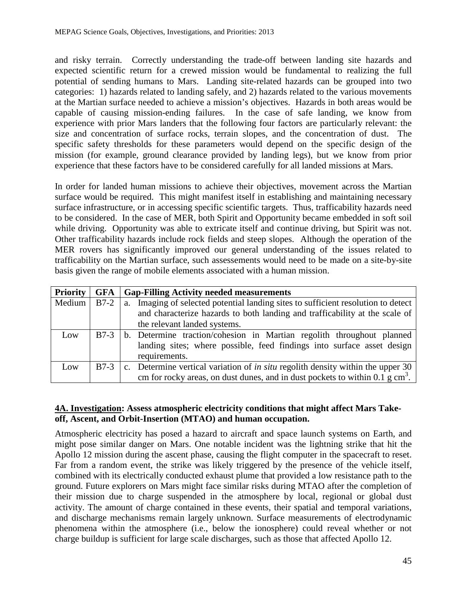and risky terrain. Correctly understanding the trade-off between landing site hazards and expected scientific return for a crewed mission would be fundamental to realizing the full potential of sending humans to Mars. Landing site-related hazards can be grouped into two categories: 1) hazards related to landing safely, and 2) hazards related to the various movements at the Martian surface needed to achieve a mission's objectives. Hazards in both areas would be capable of causing mission-ending failures. In the case of safe landing, we know from experience with prior Mars landers that the following four factors are particularly relevant: the size and concentration of surface rocks, terrain slopes, and the concentration of dust. The specific safety thresholds for these parameters would depend on the specific design of the mission (for example, ground clearance provided by landing legs), but we know from prior experience that these factors have to be considered carefully for all landed missions at Mars.

In order for landed human missions to achieve their objectives, movement across the Martian surface would be required. This might manifest itself in establishing and maintaining necessary surface infrastructure, or in accessing specific scientific targets. Thus, trafficability hazards need to be considered. In the case of MER, both Spirit and Opportunity became embedded in soft soil while driving. Opportunity was able to extricate itself and continue driving, but Spirit was not. Other trafficability hazards include rock fields and steep slopes. Although the operation of the MER rovers has significantly improved our general understanding of the issues related to trafficability on the Martian surface, such assessements would need to be made on a site-by-site basis given the range of mobile elements associated with a human mission.

| <b>Priority</b> | <b>GFA</b> | <b>Gap-Filling Activity needed measurements</b>                                              |
|-----------------|------------|----------------------------------------------------------------------------------------------|
| Medium          | $B7-2$     | a. Imaging of selected potential landing sites to sufficient resolution to detect            |
|                 |            | and characterize hazards to both landing and trafficability at the scale of                  |
|                 |            | the relevant landed systems.                                                                 |
| Low             | $B7-3$     | b. Determine traction/cohesion in Martian regolith throughout planned                        |
|                 |            | landing sites; where possible, feed findings into surface asset design                       |
|                 |            | requirements.                                                                                |
| Low             | $B7-3$     | c. Determine vertical variation of <i>in situ</i> regolith density within the upper 30       |
|                 |            | cm for rocky areas, on dust dunes, and in dust pockets to within 0.1 $\mu$ cm <sup>3</sup> . |

### **4A. Investigation: Assess atmospheric electricity conditions that might affect Mars Takeoff, Ascent, and Orbit-Insertion (MTAO) and human occupation.**

Atmospheric electricity has posed a hazard to aircraft and space launch systems on Earth, and might pose similar danger on Mars. One notable incident was the lightning strike that hit the Apollo 12 mission during the ascent phase, causing the flight computer in the spacecraft to reset. Far from a random event, the strike was likely triggered by the presence of the vehicle itself, combined with its electrically conducted exhaust plume that provided a low resistance path to the ground. Future explorers on Mars might face similar risks during MTAO after the completion of their mission due to charge suspended in the atmosphere by local, regional or global dust activity. The amount of charge contained in these events, their spatial and temporal variations, and discharge mechanisms remain largely unknown. Surface measurements of electrodynamic phenomena within the atmosphere (i.e., below the ionosphere) could reveal whether or not charge buildup is sufficient for large scale discharges, such as those that affected Apollo 12.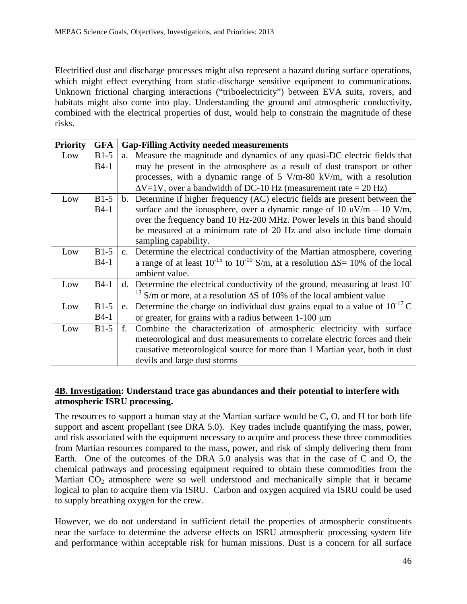Electrified dust and discharge processes might also represent a hazard during surface operations, which might effect everything from static-discharge sensitive equipment to communications. Unknown frictional charging interactions ("triboelectricity") between EVA suits, rovers, and habitats might also come into play. Understanding the ground and atmospheric conductivity, combined with the electrical properties of dust, would help to constrain the magnitude of these risks.

| <b>Priority</b> | <b>GFA</b> | <b>Gap-Filling Activity needed measurements</b>                                                  |
|-----------------|------------|--------------------------------------------------------------------------------------------------|
| Low             | $B1-5$     | a. Measure the magnitude and dynamics of any quasi-DC electric fields that                       |
|                 | $B4-1$     | may be present in the atmosphere as a result of dust transport or other                          |
|                 |            | processes, with a dynamic range of $5 \text{ V/m-80 kV/m}$ , with a resolution                   |
|                 |            | $\Delta V = 1V$ , over a bandwidth of DC-10 Hz (measurement rate = 20 Hz)                        |
| Low             | $B1-5$     | b. Determine if higher frequency (AC) electric fields are present between the                    |
|                 | $B4-1$     | surface and the ionosphere, over a dynamic range of 10 $\mu$ V/m – 10 V/m,                       |
|                 |            | over the frequency band 10 Hz-200 MHz. Power levels in this band should                          |
|                 |            | be measured at a minimum rate of 20 Hz and also include time domain                              |
|                 |            | sampling capability.                                                                             |
| Low             | $B1-5$     | c. Determine the electrical conductivity of the Martian atmosphere, covering                     |
|                 | $B4-1$     | a range of at least $10^{-15}$ to $10^{-10}$ S/m, at a resolution $\Delta S = 10\%$ of the local |
|                 |            | ambient value.                                                                                   |
| Low             | $B4-1$     | d. Determine the electrical conductivity of the ground, measuring at least 10                    |
|                 |            | <sup>13</sup> S/m or more, at a resolution $\Delta S$ of 10% of the local ambient value          |
| Low             | $B1-5$     | e. Determine the charge on individual dust grains equal to a value of $10^{-17}$ C               |
|                 | $B4-1$     | or greater, for grains with a radius between $1-100 \mu m$                                       |
| Low             | $B1-5$     | Combine the characterization of atmospheric electricity with surface<br>f.                       |
|                 |            | meteorological and dust measurements to correlate electric forces and their                      |
|                 |            | causative meteorological source for more than 1 Martian year, both in dust                       |
|                 |            | devils and large dust storms                                                                     |

#### **4B. Investigation: Understand trace gas abundances and their potential to interfere with atmospheric ISRU processing.**

The resources to support a human stay at the Martian surface would be C, O, and H for both life support and ascent propellant (see DRA 5.0). Key trades include quantifying the mass, power, and risk associated with the equipment necessary to acquire and process these three commodities from Martian resources compared to the mass, power, and risk of simply delivering them from Earth. One of the outcomes of the DRA 5.0 analysis was that in the case of C and O, the chemical pathways and processing equipment required to obtain these commodities from the Martian  $CO<sub>2</sub>$  atmosphere were so well understood and mechanically simple that it became logical to plan to acquire them via ISRU. Carbon and oxygen acquired via ISRU could be used to supply breathing oxygen for the crew.

However, we do not understand in sufficient detail the properties of atmospheric constituents near the surface to determine the adverse effects on ISRU atmospheric processing system life and performance within acceptable risk for human missions. Dust is a concern for all surface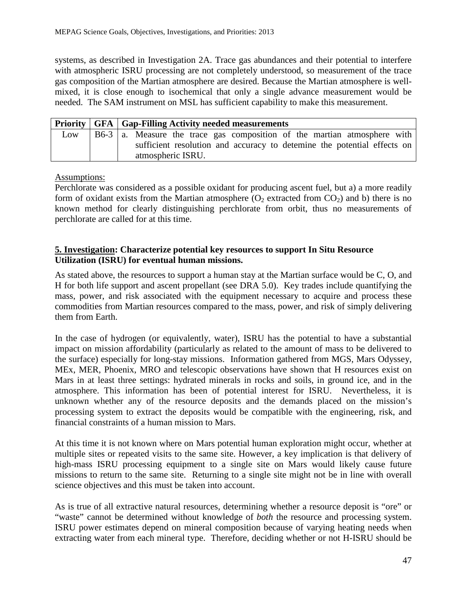systems, as described in Investigation 2A. Trace gas abundances and their potential to interfere with atmospheric ISRU processing are not completely understood, so measurement of the trace gas composition of the Martian atmosphere are desired. Because the Martian atmosphere is wellmixed, it is close enough to isochemical that only a single advance measurement would be needed. The SAM instrument on MSL has sufficient capability to make this measurement.

|     | <b>Priority   GFA   Gap-Filling Activity needed measurements</b>                             |
|-----|----------------------------------------------------------------------------------------------|
| Low | $B6-3$   a. Measure the trace gas composition of the martian atmosphere with                 |
|     | sufficient resolution and accuracy to detemine the potential effects on<br>atmospheric ISRU. |

### Assumptions:

Perchlorate was considered as a possible oxidant for producing ascent fuel, but a) a more readily form of oxidant exists from the Martian atmosphere  $(O_2$  extracted from  $CO_2$ ) and b) there is no known method for clearly distinguishing perchlorate from orbit, thus no measurements of perchlorate are called for at this time.

### **5. Investigation: Characterize potential key resources to support In Situ Resource Utilization (ISRU) for eventual human missions.**

As stated above, the resources to support a human stay at the Martian surface would be C, O, and H for both life support and ascent propellant (see DRA 5.0). Key trades include quantifying the mass, power, and risk associated with the equipment necessary to acquire and process these commodities from Martian resources compared to the mass, power, and risk of simply delivering them from Earth.

In the case of hydrogen (or equivalently, water), ISRU has the potential to have a substantial impact on mission affordability (particularly as related to the amount of mass to be delivered to the surface) especially for long-stay missions. Information gathered from MGS, Mars Odyssey, MEx, MER, Phoenix, MRO and telescopic observations have shown that H resources exist on Mars in at least three settings: hydrated minerals in rocks and soils, in ground ice, and in the atmosphere. This information has been of potential interest for ISRU. Nevertheless, it is unknown whether any of the resource deposits and the demands placed on the mission's processing system to extract the deposits would be compatible with the engineering, risk, and financial constraints of a human mission to Mars.

At this time it is not known where on Mars potential human exploration might occur, whether at multiple sites or repeated visits to the same site. However, a key implication is that delivery of high-mass ISRU processing equipment to a single site on Mars would likely cause future missions to return to the same site. Returning to a single site might not be in line with overall science objectives and this must be taken into account.

As is true of all extractive natural resources, determining whether a resource deposit is "ore" or "waste" cannot be determined without knowledge of *both* the resource and processing system. ISRU power estimates depend on mineral composition because of varying heating needs when extracting water from each mineral type. Therefore, deciding whether or not H-ISRU should be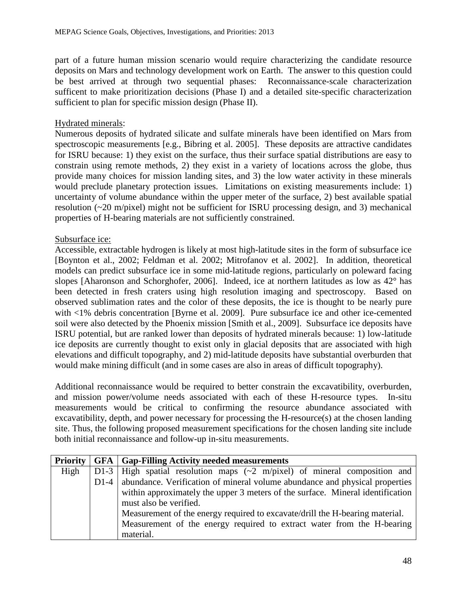part of a future human mission scenario would require characterizing the candidate resource deposits on Mars and technology development work on Earth. The answer to this question could be best arrived at through two sequential phases: Reconnaissance-scale characterization sufficent to make prioritization decisions (Phase I) and a detailed site-specific characterization sufficient to plan for specific mission design (Phase II).

### Hydrated minerals:

Numerous deposits of hydrated silicate and sulfate minerals have been identified on Mars from spectroscopic measurements [e.g., Bibring et al. 2005]. These deposits are attractive candidates for ISRU because: 1) they exist on the surface, thus their surface spatial distributions are easy to constrain using remote methods, 2) they exist in a variety of locations across the globe, thus provide many choices for mission landing sites, and 3) the low water activity in these minerals would preclude planetary protection issues. Limitations on existing measurements include: 1) uncertainty of volume abundance within the upper meter of the surface, 2) best available spatial resolution (~20 m/pixel) might not be sufficient for ISRU processing design, and 3) mechanical properties of H-bearing materials are not sufficiently constrained.

### Subsurface ice:

Accessible, extractable hydrogen is likely at most high-latitude sites in the form of subsurface ice [Boynton et al., 2002; Feldman et al. 2002; Mitrofanov et al. 2002]. In addition, theoretical models can predict subsurface ice in some mid-latitude regions, particularly on poleward facing slopes [Aharonson and Schorghofer, 2006]. Indeed, ice at northern latitudes as low as 42° has been detected in fresh craters using high resolution imaging and spectroscopy. Based on observed sublimation rates and the color of these deposits, the ice is thought to be nearly pure with <1% debris concentration [Byrne et al. 2009]. Pure subsurface ice and other ice-cemented soil were also detected by the Phoenix mission [Smith et al., 2009]. Subsurface ice deposits have ISRU potential, but are ranked lower than deposits of hydrated minerals because: 1) low-latitude ice deposits are currently thought to exist only in glacial deposits that are associated with high elevations and difficult topography, and 2) mid-latitude deposits have substantial overburden that would make mining difficult (and in some cases are also in areas of difficult topography).

Additional reconnaissance would be required to better constrain the excavatibility, overburden, and mission power/volume needs associated with each of these H-resource types. In-situ measurements would be critical to confirming the resource abundance associated with excavatibility, depth, and power necessary for processing the H-resource(s) at the chosen landing site. Thus, the following proposed measurement specifications for the chosen landing site include both initial reconnaissance and follow-up in-situ measurements.

| <b>Priority</b> |        | <b>GFA</b> Gap-Filling Activity needed measurements                                |
|-----------------|--------|------------------------------------------------------------------------------------|
| High            | $D1-3$ | High spatial resolution maps $(\sim 2 \text{ m/pixel})$ of mineral composition and |
|                 | $D1-4$ | abundance. Verification of mineral volume abundance and physical properties        |
|                 |        | within approximately the upper 3 meters of the surface. Mineral identification     |
|                 |        | must also be verified.                                                             |
|                 |        | Measurement of the energy required to excavate/drill the H-bearing material.       |
|                 |        | Measurement of the energy required to extract water from the H-bearing             |
|                 |        | material.                                                                          |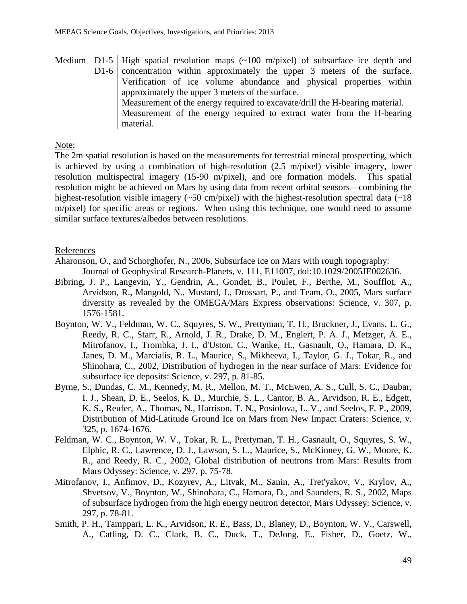|  | Medium   D1-5   High spatial resolution maps $(\sim 100 \text{ m/pixel})$ of subsurface ice depth and |
|--|-------------------------------------------------------------------------------------------------------|
|  | D1-6   concentration within approximately the upper $\beta$ meters of the surface.                    |
|  | Verification of ice volume abundance and physical properties within                                   |
|  | approximately the upper 3 meters of the surface.                                                      |
|  | Measurement of the energy required to excavate/drill the H-bearing material.                          |
|  | Measurement of the energy required to extract water from the H-bearing                                |
|  | material.                                                                                             |

### Note:

The 2m spatial resolution is based on the measurements for terrestrial mineral prospecting, which is achieved by using a combination of high-resolution (2.5 m/pixel) visible imagery, lower resolution multispectral imagery (15-90 m/pixel), and ore formation models. This spatial resolution might be achieved on Mars by using data from recent orbital sensors—combining the highest-resolution visible imagery  $(\sim 50 \text{ cm/pixel})$  with the highest-resolution spectral data  $(\sim 18 \text{ m})$ m/pixel) for specific areas or regions. When using this technique, one would need to assume similar surface textures/albedos between resolutions.

### References

- Aharonson, O., and Schorghofer, N., 2006, Subsurface ice on Mars with rough topography: Journal of Geophysical Research-Planets, v. 111, E11007, doi:10.1029/2005JE002636.
- Bibring, J. P., Langevin, Y., Gendrin, A., Gondet, B., Poulet, F., Berthe, M., Soufflot, A., Arvidson, R., Mangold, N., Mustard, J., Drossart, P., and Team, O., 2005, Mars surface diversity as revealed by the OMEGA/Mars Express observations: Science, v. 307, p. 1576-1581.
- Boynton, W. V., Feldman, W. C., Squyres, S. W., Prettyman, T. H., Bruckner, J., Evans, L. G., Reedy, R. C., Starr, R., Arnold, J. R., Drake, D. M., Englert, P. A. J., Metzger, A. E., Mitrofanov, I., Trombka, J. I., d'Uston, C., Wanke, H., Gasnault, O., Hamara, D. K., Janes, D. M., Marcialis, R. L., Maurice, S., Mikheeva, I., Taylor, G. J., Tokar, R., and Shinohara, C., 2002, Distribution of hydrogen in the near surface of Mars: Evidence for subsurface ice deposits: Science, v. 297, p. 81-85.
- Byrne, S., Dundas, C. M., Kennedy, M. R., Mellon, M. T., McEwen, A. S., Cull, S. C., Daubar, I. J., Shean, D. E., Seelos, K. D., Murchie, S. L., Cantor, B. A., Arvidson, R. E., Edgett, K. S., Reufer, A., Thomas, N., Harrison, T. N., Posiolova, L. V., and Seelos, F. P., 2009, Distribution of Mid-Latitude Ground Ice on Mars from New Impact Craters: Science, v. 325, p. 1674-1676.
- Feldman, W. C., Boynton, W. V., Tokar, R. L., Prettyman, T. H., Gasnault, O., Squyres, S. W., Elphic, R. C., Lawrence, D. J., Lawson, S. L., Maurice, S., McKinney, G. W., Moore, K. R., and Reedy, R. C., 2002, Global distribution of neutrons from Mars: Results from Mars Odyssey: Science, v. 297, p. 75-78.
- Mitrofanov, I., Anfimov, D., Kozyrev, A., Litvak, M., Sanin, A., Tret'yakov, V., Krylov, A., Shvetsov, V., Boynton, W., Shinohara, C., Hamara, D., and Saunders, R. S., 2002, Maps of subsurface hydrogen from the high energy neutron detector, Mars Odyssey: Science, v. 297, p. 78-81.
- Smith, P. H., Tamppari, L. K., Arvidson, R. E., Bass, D., Blaney, D., Boynton, W. V., Carswell, A., Catling, D. C., Clark, B. C., Duck, T., DeJong, E., Fisher, D., Goetz, W.,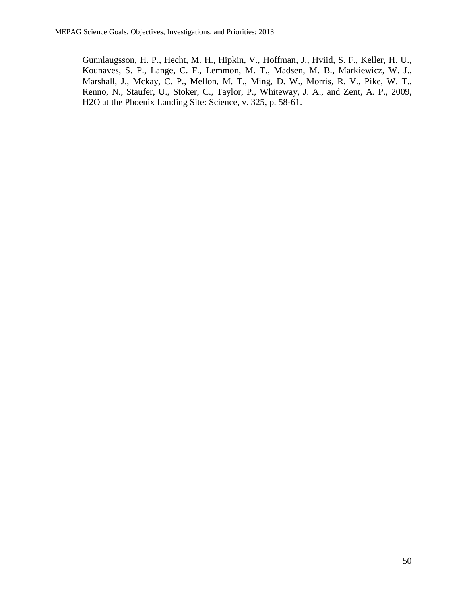Gunnlaugsson, H. P., Hecht, M. H., Hipkin, V., Hoffman, J., Hviid, S. F., Keller, H. U., Kounaves, S. P., Lange, C. F., Lemmon, M. T., Madsen, M. B., Markiewicz, W. J., Marshall, J., Mckay, C. P., Mellon, M. T., Ming, D. W., Morris, R. V., Pike, W. T., Renno, N., Staufer, U., Stoker, C., Taylor, P., Whiteway, J. A., and Zent, A. P., 2009, H2O at the Phoenix Landing Site: Science, v. 325, p. 58-61.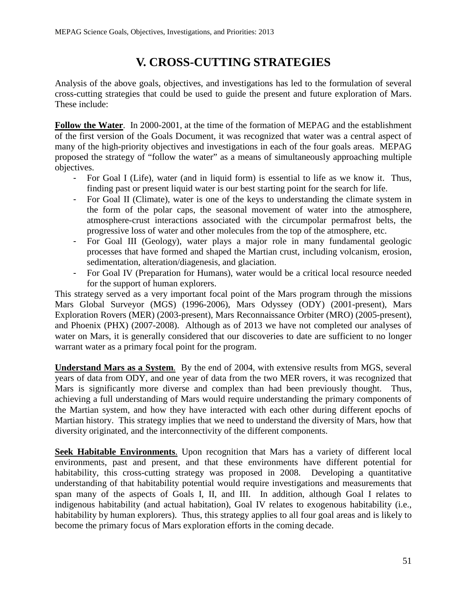# **V. CROSS-CUTTING STRATEGIES**

Analysis of the above goals, objectives, and investigations has led to the formulation of several cross-cutting strategies that could be used to guide the present and future exploration of Mars. These include:

**Follow the Water**. In 2000-2001, at the time of the formation of MEPAG and the establishment of the first version of the Goals Document, it was recognized that water was a central aspect of many of the high-priority objectives and investigations in each of the four goals areas. MEPAG proposed the strategy of "follow the water" as a means of simultaneously approaching multiple objectives.

- For Goal I (Life), water (and in liquid form) is essential to life as we know it. Thus, finding past or present liquid water is our best starting point for the search for life.
- For Goal II (Climate), water is one of the keys to understanding the climate system in the form of the polar caps, the seasonal movement of water into the atmosphere, atmosphere-crust interactions associated with the circumpolar permafrost belts, the progressive loss of water and other molecules from the top of the atmosphere, etc.
- For Goal III (Geology), water plays a major role in many fundamental geologic processes that have formed and shaped the Martian crust, including volcanism, erosion, sedimentation, alteration/diagenesis, and glaciation.
- For Goal IV (Preparation for Humans), water would be a critical local resource needed for the support of human explorers.

This strategy served as a very important focal point of the Mars program through the missions Mars Global Surveyor (MGS) (1996-2006), Mars Odyssey (ODY) (2001-present), Mars Exploration Rovers (MER) (2003-present), Mars Reconnaissance Orbiter (MRO) (2005-present), and Phoenix (PHX) (2007-2008). Although as of 2013 we have not completed our analyses of water on Mars, it is generally considered that our discoveries to date are sufficient to no longer warrant water as a primary focal point for the program.

**Understand Mars as a System**. By the end of 2004, with extensive results from MGS, several years of data from ODY, and one year of data from the two MER rovers, it was recognized that Mars is significantly more diverse and complex than had been previously thought. Thus, achieving a full understanding of Mars would require understanding the primary components of the Martian system, and how they have interacted with each other during different epochs of Martian history. This strategy implies that we need to understand the diversity of Mars, how that diversity originated, and the interconnectivity of the different components.

**Seek Habitable Environments**. Upon recognition that Mars has a variety of different local environments, past and present, and that these environments have different potential for habitability, this cross-cutting strategy was proposed in 2008. Developing a quantitative understanding of that habitability potential would require investigations and measurements that span many of the aspects of Goals I, II, and III. In addition, although Goal I relates to indigenous habitability (and actual habitation), Goal IV relates to exogenous habitability (i.e., habitability by human explorers). Thus, this strategy applies to all four goal areas and is likely to become the primary focus of Mars exploration efforts in the coming decade.